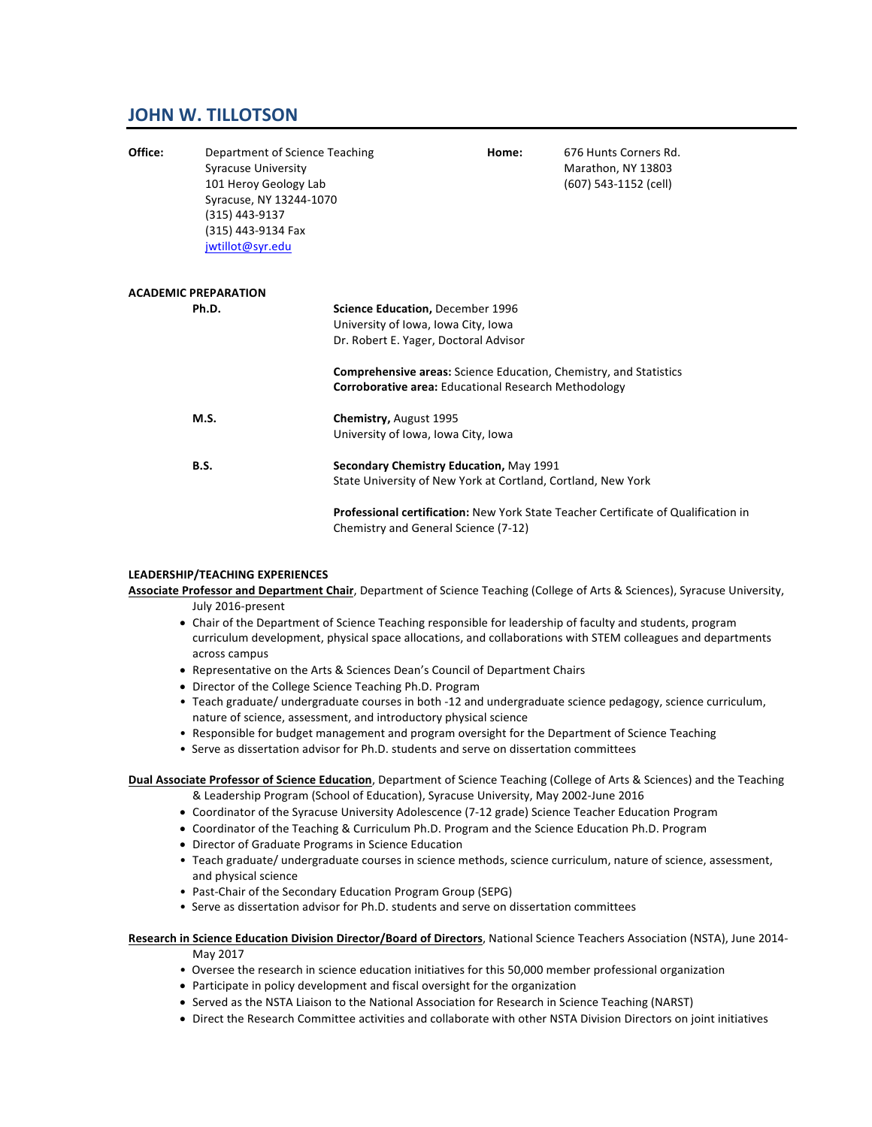# **JOHN W. TILLOTSON**

| Office: | Department of Science Teaching<br><b>Syracuse University</b><br>101 Heroy Geology Lab<br>Syracuse, NY 13244-1070<br>(315) 443-9137<br>(315) 443-9134 Fax<br>jwtillot@syr.edu |                                                                                                                                                                                                                                                             | Home: | 676 Hunts Corners Rd.<br>Marathon, NY 13803<br>(607) 543-1152 (cell)                      |
|---------|------------------------------------------------------------------------------------------------------------------------------------------------------------------------------|-------------------------------------------------------------------------------------------------------------------------------------------------------------------------------------------------------------------------------------------------------------|-------|-------------------------------------------------------------------------------------------|
|         | <b>ACADEMIC PREPARATION</b>                                                                                                                                                  |                                                                                                                                                                                                                                                             |       |                                                                                           |
|         | Ph.D.                                                                                                                                                                        | Science Education, December 1996<br>University of Iowa, Iowa City, Iowa<br>Dr. Robert E. Yager, Doctoral Advisor<br><b>Comprehensive areas:</b> Science Education, Chemistry, and Statistics<br><b>Corroborative area: Educational Research Methodology</b> |       |                                                                                           |
|         | M.S.                                                                                                                                                                         | Chemistry, August 1995<br>University of Iowa, Iowa City, Iowa                                                                                                                                                                                               |       |                                                                                           |
|         | <b>B.S.</b>                                                                                                                                                                  | Secondary Chemistry Education, May 1991<br>State University of New York at Cortland, Cortland, New York                                                                                                                                                     |       |                                                                                           |
|         |                                                                                                                                                                              | Chemistry and General Science (7-12)                                                                                                                                                                                                                        |       | <b>Professional certification:</b> New York State Teacher Certificate of Qualification in |

### **LEADERSHIP/TEACHING EXPERIENCES**

Associate Professor and Department Chair, Department of Science Teaching (College of Arts & Sciences), Syracuse University, July 2016-present

- Chair of the Department of Science Teaching responsible for leadership of faculty and students, program curriculum development, physical space allocations, and collaborations with STEM colleagues and departments across campus
- Representative on the Arts & Sciences Dean's Council of Department Chairs
- Director of the College Science Teaching Ph.D. Program
- Teach graduate/ undergraduate courses in both -12 and undergraduate science pedagogy, science curriculum, nature of science, assessment, and introductory physical science
- Responsible for budget management and program oversight for the Department of Science Teaching
- Serve as dissertation advisor for Ph.D. students and serve on dissertation committees

**Dual Associate Professor of Science Education**, Department of Science Teaching (College of Arts & Sciences) and the Teaching & Leadership Program (School of Education), Syracuse University, May 2002-June 2016

- Coordinator of the Syracuse University Adolescence (7-12 grade) Science Teacher Education Program
- Coordinator of the Teaching & Curriculum Ph.D. Program and the Science Education Ph.D. Program
- Director of Graduate Programs in Science Education
- Teach graduate/ undergraduate courses in science methods, science curriculum, nature of science, assessment, and physical science
- Past-Chair of the Secondary Education Program Group (SEPG)
- Serve as dissertation advisor for Ph.D. students and serve on dissertation committees

### Research in Science Education Division Director/Board of Directors, National Science Teachers Association (NSTA), June 2014-May 2017

- Oversee the research in science education initiatives for this 50,000 member professional organization
- Participate in policy development and fiscal oversight for the organization
- Served as the NSTA Liaison to the National Association for Research in Science Teaching (NARST)
- Direct the Research Committee activities and collaborate with other NSTA Division Directors on joint initiatives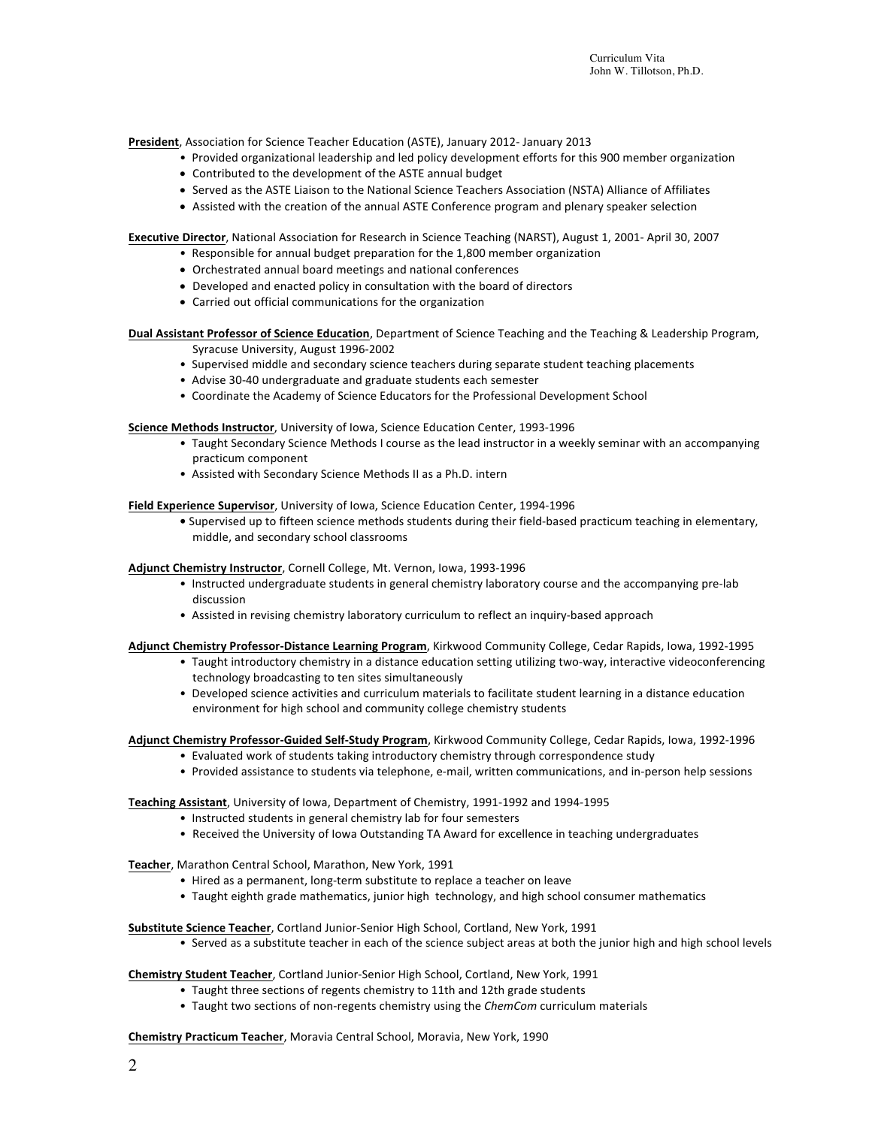**President**, Association for Science Teacher Education (ASTE), January 2012- January 2013

- Provided organizational leadership and led policy development efforts for this 900 member organization
- Contributed to the development of the ASTE annual budget
- Served as the ASTE Liaison to the National Science Teachers Association (NSTA) Alliance of Affiliates
- Assisted with the creation of the annual ASTE Conference program and plenary speaker selection

**Executive Director**, National Association for Research in Science Teaching (NARST), August 1, 2001- April 30, 2007

- Responsible for annual budget preparation for the 1,800 member organization
	- Orchestrated annual board meetings and national conferences
	- Developed and enacted policy in consultation with the board of directors
	- Carried out official communications for the organization

**Dual Assistant Professor of Science Education**, Department of Science Teaching and the Teaching & Leadership Program, Syracuse University, August 1996-2002

- Supervised middle and secondary science teachers during separate student teaching placements
- Advise 30-40 undergraduate and graduate students each semester
- Coordinate the Academy of Science Educators for the Professional Development School

**Science Methods Instructor**, University of Iowa, Science Education Center, 1993-1996

- Taught Secondary Science Methods I course as the lead instructor in a weekly seminar with an accompanying practicum component
- Assisted with Secondary Science Methods II as a Ph.D. intern

**Field Experience Supervisor**, University of Iowa, Science Education Center, 1994-1996

• Supervised up to fifteen science methods students during their field-based practicum teaching in elementary, middle, and secondary school classrooms

Adjunct Chemistry Instructor, Cornell College, Mt. Vernon, Iowa, 1993-1996

- Instructed undergraduate students in general chemistry laboratory course and the accompanying pre-lab discussion
- Assisted in revising chemistry laboratory curriculum to reflect an inquiry-based approach

#### Adjunct Chemistry Professor-Distance Learning Program, Kirkwood Community College, Cedar Rapids, Iowa, 1992-1995

- Taught introductory chemistry in a distance education setting utilizing two-way, interactive videoconferencing technology broadcasting to ten sites simultaneously
- Developed science activities and curriculum materials to facilitate student learning in a distance education environment for high school and community college chemistry students

Adjunct Chemistry Professor-Guided Self-Study Program, Kirkwood Community College, Cedar Rapids, Iowa, 1992-1996

- Evaluated work of students taking introductory chemistry through correspondence study
- Provided assistance to students via telephone, e-mail, written communications, and in-person help sessions

Teaching Assistant, University of Iowa, Department of Chemistry, 1991-1992 and 1994-1995

- Instructed students in general chemistry lab for four semesters
- Received the University of Iowa Outstanding TA Award for excellence in teaching undergraduates

Teacher, Marathon Central School, Marathon, New York, 1991

- Hired as a permanent, long-term substitute to replace a teacher on leave
- Taught eighth grade mathematics, junior high technology, and high school consumer mathematics

**Substitute Science Teacher**, Cortland Junior-Senior High School, Cortland, New York, 1991

• Served as a substitute teacher in each of the science subject areas at both the junior high and high school levels

**Chemistry Student Teacher**, Cortland Junior-Senior High School, Cortland, New York, 1991

- Taught three sections of regents chemistry to 11th and 12th grade students
- Taught two sections of non-regents chemistry using the *ChemCom* curriculum materials

**Chemistry Practicum Teacher**, Moravia Central School, Moravia, New York, 1990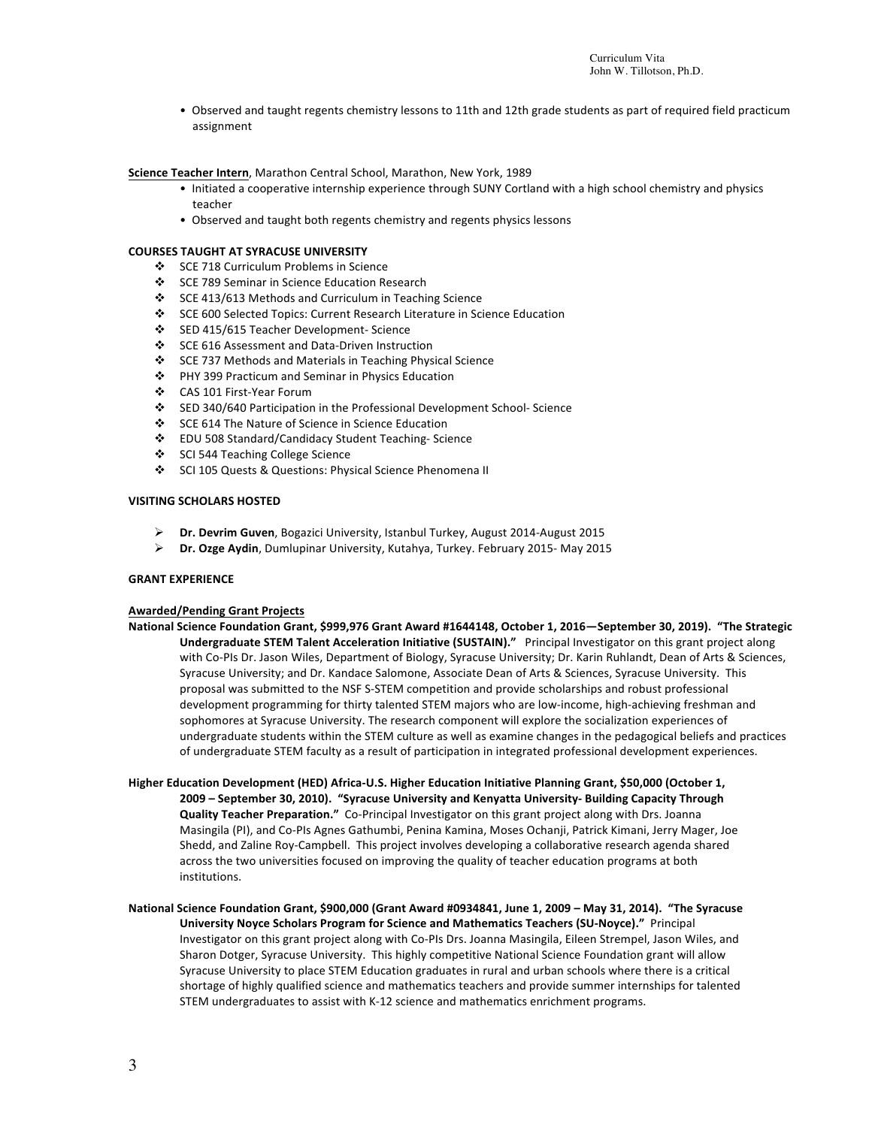• Observed and taught regents chemistry lessons to 11th and 12th grade students as part of required field practicum assignment

### Science Teacher Intern, Marathon Central School, Marathon, New York, 1989

- Initiated a cooperative internship experience through SUNY Cortland with a high school chemistry and physics teacher
- Observed and taught both regents chemistry and regents physics lessons

#### **COURSES TAUGHT AT SYRACUSE UNIVERSITY**

- ❖ SCE 718 Curriculum Problems in Science
- ❖ SCE 789 Seminar in Science Education Research
- v SCE 413/613 Methods and Curriculum in Teaching Science
- ◆ SCE 600 Selected Topics: Current Research Literature in Science Education
- v SED 415/615 Teacher Development- Science
- SCE 616 Assessment and Data-Driven Instruction
- ❖ SCE 737 Methods and Materials in Teaching Physical Science
- ❖ PHY 399 Practicum and Seminar in Physics Education
- v CAS 101 First-Year Forum
- ◆ SED 340/640 Participation in the Professional Development School- Science
- ❖ SCE 614 The Nature of Science in Science Education
- v EDU 508 Standard/Candidacy Student Teaching- Science
- ❖ SCI 544 Teaching College Science
- ◆ SCI 105 Quests & Questions: Physical Science Phenomena II

### **VISITING SCHOLARS HOSTED**

- **Dr. Devrim Guven**, Bogazici University, Istanbul Turkey, August 2014-August 2015
- **►** Dr. Ozge Aydin, Dumlupinar University, Kutahya, Turkey. February 2015- May 2015

#### **GRANT EXPERIENCE**

#### **Awarded/Pending Grant Projects**

- National Science Foundation Grant, \$999,976 Grant Award #1644148, October 1, 2016—September 30, 2019). "The Strategic **Undergraduate STEM Talent Acceleration Initiative (SUSTAIN)."** Principal Investigator on this grant project along with Co-PIs Dr. Jason Wiles, Department of Biology, Syracuse University; Dr. Karin Ruhlandt, Dean of Arts & Sciences, Syracuse University; and Dr. Kandace Salomone, Associate Dean of Arts & Sciences, Syracuse University. This proposal was submitted to the NSF S-STEM competition and provide scholarships and robust professional development programming for thirty talented STEM majors who are low-income, high-achieving freshman and sophomores at Syracuse University. The research component will explore the socialization experiences of undergraduate students within the STEM culture as well as examine changes in the pedagogical beliefs and practices of undergraduate STEM faculty as a result of participation in integrated professional development experiences.
- Higher Education Development (HED) Africa-U.S. Higher Education Initiative Planning Grant, \$50,000 (October 1, **2009** - September 30, 2010). "Syracuse University and Kenyatta University-Building Capacity Through **Quality Teacher Preparation."** Co-Principal Investigator on this grant project along with Drs. Joanna Masingila (PI), and Co-PIs Agnes Gathumbi, Penina Kamina, Moses Ochanji, Patrick Kimani, Jerry Mager, Joe Shedd, and Zaline Roy-Campbell. This project involves developing a collaborative research agenda shared across the two universities focused on improving the quality of teacher education programs at both institutions.
- National Science Foundation Grant, \$900,000 (Grant Award #0934841, June 1, 2009 May 31, 2014). "The Syracuse **University Noyce Scholars Program for Science and Mathematics Teachers (SU-Noyce)."** Principal Investigator on this grant project along with Co-PIs Drs. Joanna Masingila, Eileen Strempel, Jason Wiles, and Sharon Dotger, Syracuse University. This highly competitive National Science Foundation grant will allow Syracuse University to place STEM Education graduates in rural and urban schools where there is a critical shortage of highly qualified science and mathematics teachers and provide summer internships for talented STEM undergraduates to assist with K-12 science and mathematics enrichment programs.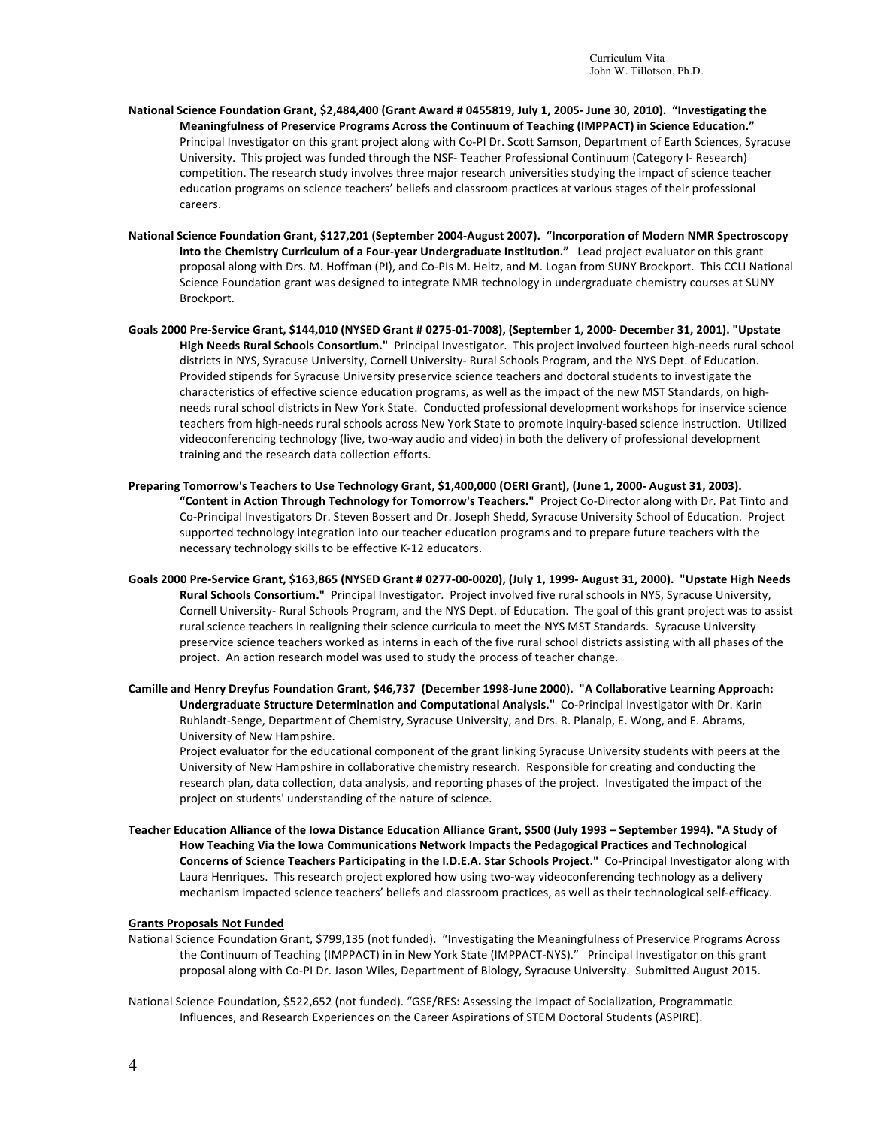- National Science Foundation Grant, \$2,484,400 (Grant Award # 0455819, July 1, 2005- June 30, 2010). "Investigating the Meaningfulness of Preservice Programs Across the Continuum of Teaching (IMPPACT) in Science Education." Principal Investigator on this grant project along with Co-PI Dr. Scott Samson, Department of Earth Sciences, Syracuse University. This project was funded through the NSF- Teacher Professional Continuum (Category I- Research) competition. The research study involves three major research universities studying the impact of science teacher education programs on science teachers' beliefs and classroom practices at various stages of their professional careers.
- National Science Foundation Grant, \$127,201 (September 2004-August 2007). "Incorporation of Modern NMR Spectroscopy into the Chemistry Curriculum of a Four-year Undergraduate Institution." Lead project evaluator on this grant proposal along with Drs. M. Hoffman (PI), and Co-PIs M. Heitz, and M. Logan from SUNY Brockport. This CCLI National Science Foundation grant was designed to integrate NMR technology in undergraduate chemistry courses at SUNY Brockport.
- Goals 2000 Pre-Service Grant, \$144,010 (NYSED Grant # 0275-01-7008), (September 1, 2000- December 31, 2001). "Upstate High Needs Rural Schools Consortium." Principal Investigator. This project involved fourteen high-needs rural school districts in NYS, Syracuse University, Cornell University- Rural Schools Program, and the NYS Dept. of Education. Provided stipends for Syracuse University preservice science teachers and doctoral students to investigate the characteristics of effective science education programs, as well as the impact of the new MST Standards, on highneeds rural school districts in New York State. Conducted professional development workshops for inservice science teachers from high-needs rural schools across New York State to promote inquiry-based science instruction. Utilized videoconferencing technology (live, two-way audio and video) in both the delivery of professional development training and the research data collection efforts.
- Preparing Tomorrow's Teachers to Use Technology Grant, \$1,400,000 (OERI Grant), (June 1, 2000- August 31, 2003). "Content in Action Through Technology for Tomorrow's Teachers." Project Co-Director along with Dr. Pat Tinto and Co-Principal Investigators Dr. Steven Bossert and Dr. Joseph Shedd, Syracuse University School of Education. Project supported technology integration into our teacher education programs and to prepare future teachers with the necessary technology skills to be effective K-12 educators.
- Goals 2000 Pre-Service Grant, \$163,865 (NYSED Grant # 0277-00-0020), (July 1, 1999- August 31, 2000). "Upstate High Needs Rural Schools Consortium." Principal Investigator. Project involved five rural schools in NYS, Syracuse University, Cornell University- Rural Schools Program, and the NYS Dept. of Education. The goal of this grant project was to assist rural science teachers in realigning their science curricula to meet the NYS MST Standards. Syracuse University preservice science teachers worked as interns in each of the five rural school districts assisting with all phases of the project. An action research model was used to study the process of teacher change.
- Camille and Henry Dreyfus Foundation Grant, \$46,737 (December 1998-June 2000). "A Collaborative Learning Approach: Undergraduate Structure Determination and Computational Analysis." Co-Principal Investigator with Dr. Karin Ruhlandt-Senge, Department of Chemistry, Syracuse University, and Drs. R. Planalp, E. Wong, and E. Abrams, University of New Hampshire.

Project evaluator for the educational component of the grant linking Syracuse University students with peers at the University of New Hampshire in collaborative chemistry research. Responsible for creating and conducting the research plan, data collection, data analysis, and reporting phases of the project. Investigated the impact of the project on students' understanding of the nature of science.

Teacher Education Alliance of the Iowa Distance Education Alliance Grant, \$500 (July 1993 - September 1994). "A Study of How Teaching Via the Iowa Communications Network Impacts the Pedagogical Practices and Technological **Concerns of Science Teachers Participating in the I.D.E.A. Star Schools Project."** Co-Principal Investigator along with Laura Henriques. This research project explored how using two-way videoconferencing technology as a delivery mechanism impacted science teachers' beliefs and classroom practices, as well as their technological self-efficacy.

### **Grants Proposals Not Funded**

- National Science Foundation Grant, \$799,135 (not funded). "Investigating the Meaningfulness of Preservice Programs Across the Continuum of Teaching (IMPPACT) in in New York State (IMPPACT-NYS)." Principal Investigator on this grant proposal along with Co-PI Dr. Jason Wiles, Department of Biology, Syracuse University. Submitted August 2015.
- National Science Foundation, \$522,652 (not funded). "GSE/RES: Assessing the Impact of Socialization, Programmatic Influences, and Research Experiences on the Career Aspirations of STEM Doctoral Students (ASPIRE).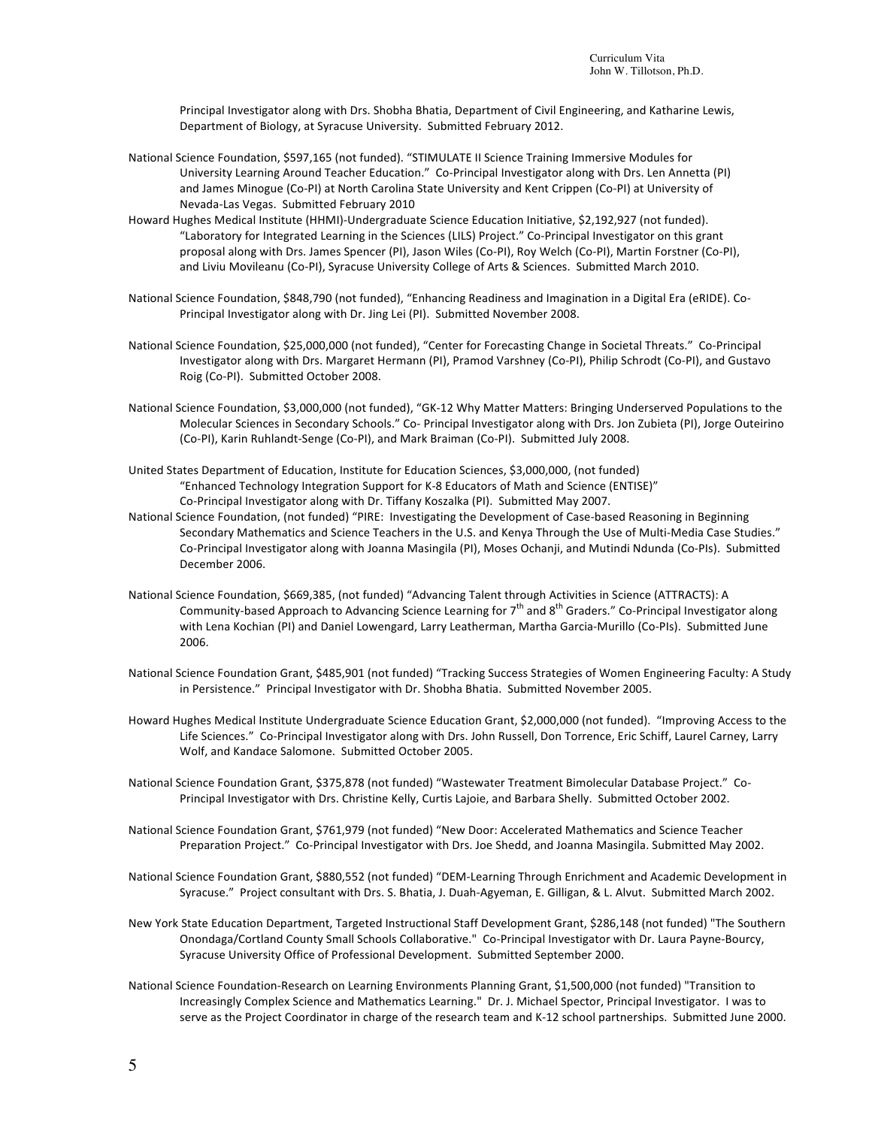Principal Investigator along with Drs. Shobha Bhatia, Department of Civil Engineering, and Katharine Lewis, Department of Biology, at Syracuse University. Submitted February 2012.

- National Science Foundation, \$597,165 (not funded). "STIMULATE II Science Training Immersive Modules for University Learning Around Teacher Education." Co-Principal Investigator along with Drs. Len Annetta (PI) and James Minogue (Co-PI) at North Carolina State University and Kent Crippen (Co-PI) at University of Nevada-Las Vegas. Submitted February 2010
- Howard Hughes Medical Institute (HHMI)-Undergraduate Science Education Initiative, \$2,192,927 (not funded). "Laboratory for Integrated Learning in the Sciences (LILS) Project." Co-Principal Investigator on this grant proposal along with Drs. James Spencer (PI), Jason Wiles (Co-PI), Roy Welch (Co-PI), Martin Forstner (Co-PI), and Liviu Movileanu (Co-PI), Syracuse University College of Arts & Sciences. Submitted March 2010.
- National Science Foundation, \$848,790 (not funded), "Enhancing Readiness and Imagination in a Digital Era (eRIDE). Co-Principal Investigator along with Dr. Jing Lei (PI). Submitted November 2008.
- National Science Foundation, \$25,000,000 (not funded), "Center for Forecasting Change in Societal Threats." Co-Principal Investigator along with Drs. Margaret Hermann (PI), Pramod Varshney (Co-PI), Philip Schrodt (Co-PI), and Gustavo Roig (Co-PI). Submitted October 2008.
- National Science Foundation, \$3,000,000 (not funded), "GK-12 Why Matter Matters: Bringing Underserved Populations to the Molecular Sciences in Secondary Schools." Co- Principal Investigator along with Drs. Jon Zubieta (PI), Jorge Outeirino (Co-PI), Karin Ruhlandt-Senge (Co-PI), and Mark Braiman (Co-PI). Submitted July 2008.
- United States Department of Education, Institute for Education Sciences, \$3,000,000, (not funded) "Enhanced Technology Integration Support for K-8 Educators of Math and Science (ENTISE)" Co-Principal Investigator along with Dr. Tiffany Koszalka (PI). Submitted May 2007.
- National Science Foundation, (not funded) "PIRE: Investigating the Development of Case-based Reasoning in Beginning Secondary Mathematics and Science Teachers in the U.S. and Kenya Through the Use of Multi-Media Case Studies." Co-Principal Investigator along with Joanna Masingila (PI), Moses Ochanji, and Mutindi Ndunda (Co-PIs). Submitted December 2006.
- National Science Foundation, \$669,385, (not funded) "Advancing Talent through Activities in Science (ATTRACTS): A Community-based Approach to Advancing Science Learning for  $7<sup>th</sup>$  and  $8<sup>th</sup>$  Graders." Co-Principal Investigator along with Lena Kochian (PI) and Daniel Lowengard, Larry Leatherman, Martha Garcia-Murillo (Co-PIs). Submitted June 2006.
- National Science Foundation Grant, \$485,901 (not funded) "Tracking Success Strategies of Women Engineering Faculty: A Study in Persistence." Principal Investigator with Dr. Shobha Bhatia. Submitted November 2005.
- Howard Hughes Medical Institute Undergraduate Science Education Grant, \$2,000,000 (not funded). "Improving Access to the Life Sciences." Co-Principal Investigator along with Drs. John Russell, Don Torrence, Eric Schiff, Laurel Carney, Larry Wolf, and Kandace Salomone. Submitted October 2005.
- National Science Foundation Grant, \$375,878 (not funded) "Wastewater Treatment Bimolecular Database Project." Co-Principal Investigator with Drs. Christine Kelly, Curtis Lajoie, and Barbara Shelly. Submitted October 2002.
- National Science Foundation Grant, \$761,979 (not funded) "New Door: Accelerated Mathematics and Science Teacher Preparation Project." Co-Principal Investigator with Drs. Joe Shedd, and Joanna Masingila. Submitted May 2002.
- National Science Foundation Grant, \$880,552 (not funded) "DEM-Learning Through Enrichment and Academic Development in Syracuse." Project consultant with Drs. S. Bhatia, J. Duah-Agyeman, E. Gilligan, & L. Alvut. Submitted March 2002.
- New York State Education Department, Targeted Instructional Staff Development Grant, \$286,148 (not funded) "The Southern Onondaga/Cortland County Small Schools Collaborative." Co-Principal Investigator with Dr. Laura Payne-Bourcy, Syracuse University Office of Professional Development. Submitted September 2000.
- National Science Foundation-Research on Learning Environments Planning Grant, \$1,500,000 (not funded) "Transition to Increasingly Complex Science and Mathematics Learning." Dr. J. Michael Spector, Principal Investigator. I was to serve as the Project Coordinator in charge of the research team and K-12 school partnerships. Submitted June 2000.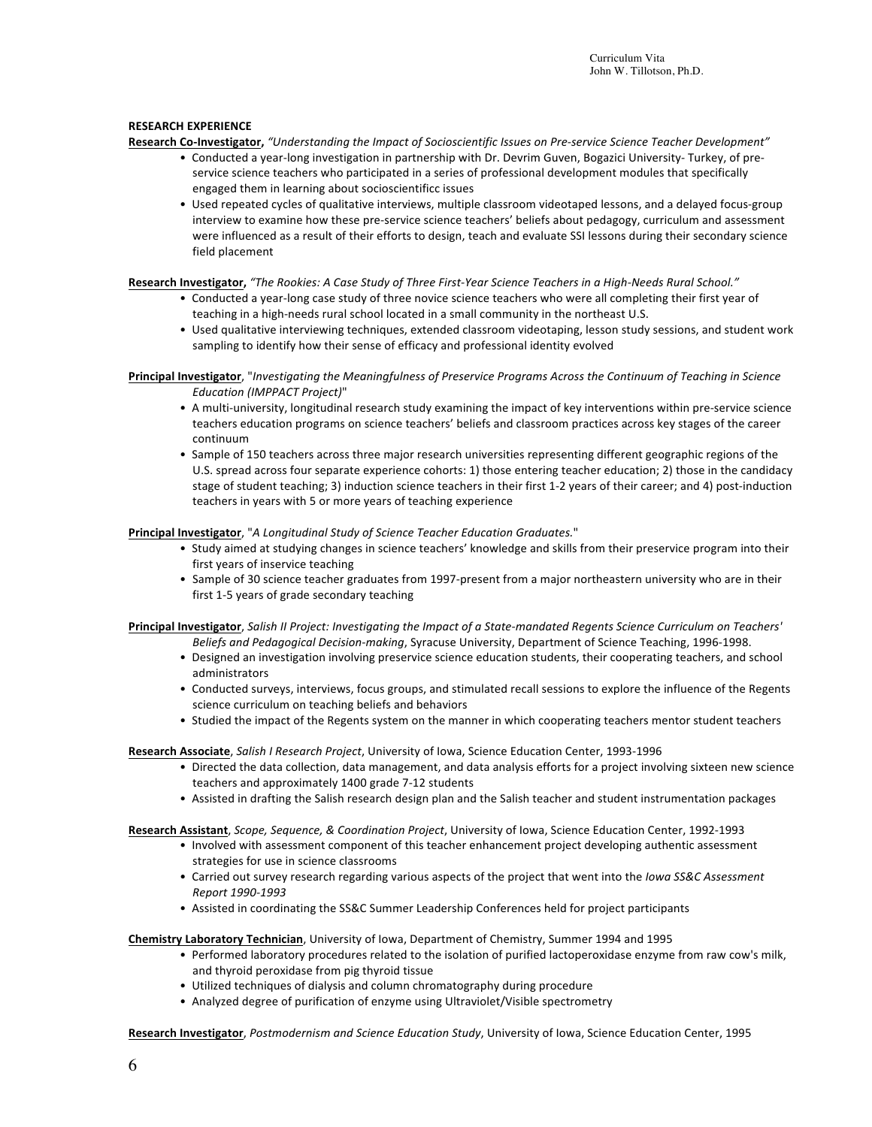### **RESEARCH EXPERIENCE**

- Research Co-Investigator, "Understanding the Impact of Socioscientific Issues on Pre-service Science Teacher Development"
	- Conducted a year-long investigation in partnership with Dr. Devrim Guven, Bogazici University- Turkey, of preservice science teachers who participated in a series of professional development modules that specifically engaged them in learning about socioscientificc issues
	- Used repeated cycles of qualitative interviews, multiple classroom videotaped lessons, and a delayed focus-group interview to examine how these pre-service science teachers' beliefs about pedagogy, curriculum and assessment were influenced as a result of their efforts to design, teach and evaluate SSI lessons during their secondary science field placement

Research Investigator, "The Rookies: A Case Study of Three First-Year Science Teachers in a High-Needs Rural School."

- Conducted a year-long case study of three novice science teachers who were all completing their first year of teaching in a high-needs rural school located in a small community in the northeast U.S.
- Used qualitative interviewing techniques, extended classroom videotaping, lesson study sessions, and student work sampling to identify how their sense of efficacy and professional identity evolved

Principal Investigator, "Investigating the Meaningfulness of Preservice Programs Across the Continuum of Teaching in Science *Education (IMPPACT Project)*"

- A multi-university, longitudinal research study examining the impact of key interventions within pre-service science teachers education programs on science teachers' beliefs and classroom practices across key stages of the career continuum
- Sample of 150 teachers across three major research universities representing different geographic regions of the U.S. spread across four separate experience cohorts: 1) those entering teacher education; 2) those in the candidacy stage of student teaching; 3) induction science teachers in their first 1-2 years of their career; and 4) post-induction teachers in years with 5 or more years of teaching experience

### Principal Investigator, "A Longitudinal Study of Science Teacher Education Graduates."

- Study aimed at studying changes in science teachers' knowledge and skills from their preservice program into their first years of inservice teaching
- Sample of 30 science teacher graduates from 1997-present from a major northeastern university who are in their first 1-5 years of grade secondary teaching

Principal Investigator, Salish II Project: Investigating the Impact of a State-mandated Regents Science Curriculum on Teachers' *Beliefs and Pedagogical Decision-making*, Syracuse University, Department of Science Teaching, 1996-1998.

- Designed an investigation involving preservice science education students, their cooperating teachers, and school administrators
- Conducted surveys, interviews, focus groups, and stimulated recall sessions to explore the influence of the Regents science curriculum on teaching beliefs and behaviors
- Studied the impact of the Regents system on the manner in which cooperating teachers mentor student teachers

Research Associate, *Salish I Research Project*, University of Iowa, Science Education Center, 1993-1996

- Directed the data collection, data management, and data analysis efforts for a project involving sixteen new science teachers and approximately 1400 grade 7-12 students
- Assisted in drafting the Salish research design plan and the Salish teacher and student instrumentation packages

Research Assistant, *Scope, Sequence, & Coordination Project*, University of Iowa, Science Education Center, 1992-1993

- Involved with assessment component of this teacher enhancement project developing authentic assessment strategies for use in science classrooms
- Carried out survey research regarding various aspects of the project that went into the *Iowa SS&C Assessment Report 1990-1993*
- Assisted in coordinating the SS&C Summer Leadership Conferences held for project participants

**Chemistry Laboratory Technician**, University of Iowa, Department of Chemistry, Summer 1994 and 1995

- Performed laboratory procedures related to the isolation of purified lactoperoxidase enzyme from raw cow's milk, and thyroid peroxidase from pig thyroid tissue
- Utilized techniques of dialysis and column chromatography during procedure
- Analyzed degree of purification of enzyme using Ultraviolet/Visible spectrometry

Research Investigator, Postmodernism and Science Education Study, University of Iowa, Science Education Center, 1995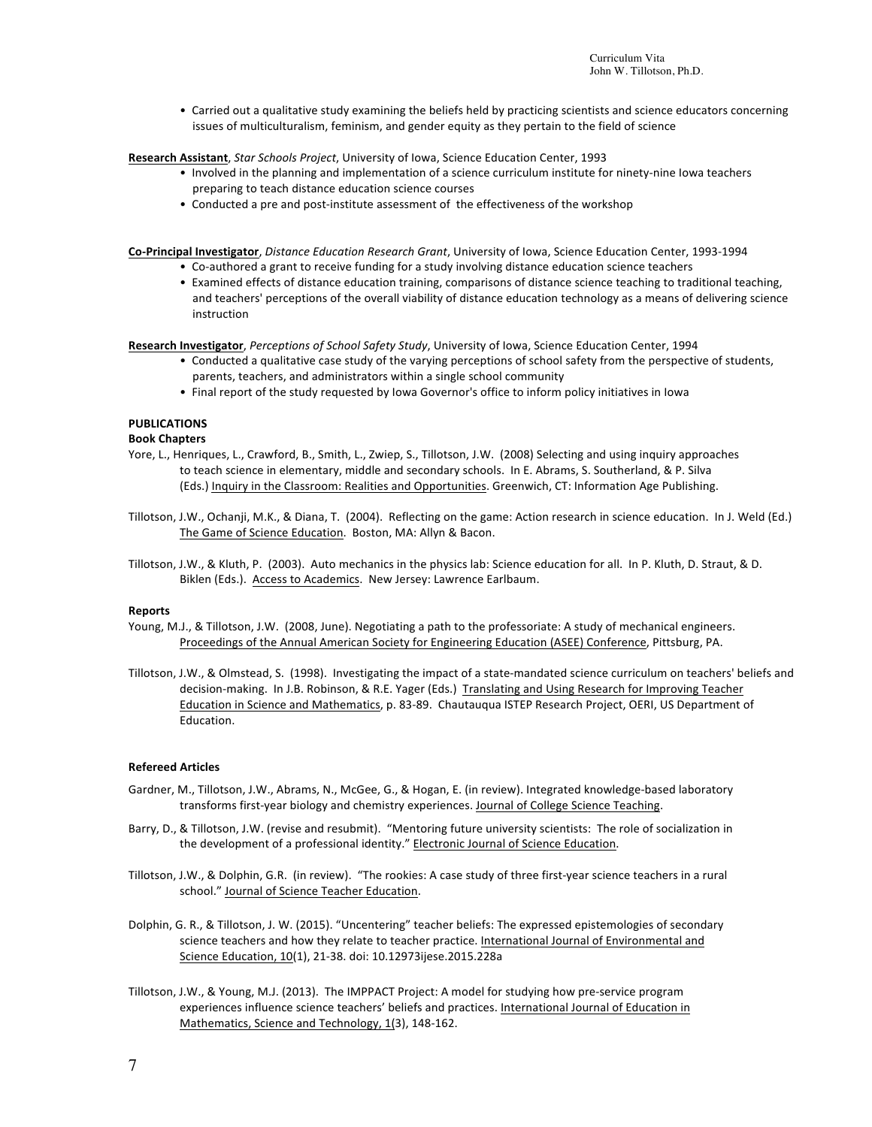Curriculum Vita John W. Tillotson, Ph.D.

• Carried out a qualitative study examining the beliefs held by practicing scientists and science educators concerning issues of multiculturalism, feminism, and gender equity as they pertain to the field of science

Research Assistant, *Star Schools Project*, University of Iowa, Science Education Center, 1993

- Involved in the planning and implementation of a science curriculum institute for ninety-nine lowa teachers preparing to teach distance education science courses
- Conducted a pre and post-institute assessment of the effectiveness of the workshop

**Co-Principal Investigator**, *Distance Education Research Grant*, University of Iowa, Science Education Center, 1993-1994

- Co-authored a grant to receive funding for a study involving distance education science teachers
- Examined effects of distance education training, comparisons of distance science teaching to traditional teaching, and teachers' perceptions of the overall viability of distance education technology as a means of delivering science instruction

Research Investigator, Perceptions of School Safety Study, University of Iowa, Science Education Center, 1994

- Conducted a qualitative case study of the varying perceptions of school safety from the perspective of students, parents, teachers, and administrators within a single school community
- Final report of the study requested by Iowa Governor's office to inform policy initiatives in Iowa

# **PUBLICATIONS**

### **Book Chapters**

- Yore, L., Henriques, L., Crawford, B., Smith, L., Zwiep, S., Tillotson, J.W. (2008) Selecting and using inquiry approaches to teach science in elementary, middle and secondary schools. In E. Abrams, S. Southerland, & P. Silva (Eds.) Inquiry in the Classroom: Realities and Opportunities. Greenwich, CT: Information Age Publishing.
- Tillotson, J.W., Ochanji, M.K., & Diana, T. (2004). Reflecting on the game: Action research in science education. In J. Weld (Ed.) The Game of Science Education. Boston, MA: Allyn & Bacon.
- Tillotson, J.W., & Kluth, P. (2003). Auto mechanics in the physics lab: Science education for all. In P. Kluth, D. Straut, & D. Biklen (Eds.). Access to Academics. New Jersey: Lawrence Earlbaum.

### **Reports**

- Young, M.J., & Tillotson, J.W. (2008, June). Negotiating a path to the professoriate: A study of mechanical engineers. Proceedings of the Annual American Society for Engineering Education (ASEE) Conference, Pittsburg, PA.
- Tillotson, J.W., & Olmstead, S. (1998). Investigating the impact of a state-mandated science curriculum on teachers' beliefs and decision-making. In J.B. Robinson, & R.E. Yager (Eds.) Translating and Using Research for Improving Teacher Education in Science and Mathematics, p. 83-89. Chautauqua ISTEP Research Project, OERI, US Department of Education.

### **Refereed Articles**

- Gardner, M., Tillotson, J.W., Abrams, N., McGee, G., & Hogan, E. (in review). Integrated knowledge-based laboratory transforms first-year biology and chemistry experiences. Journal of College Science Teaching.
- Barry, D., & Tillotson, J.W. (revise and resubmit). "Mentoring future university scientists: The role of socialization in the development of a professional identity." Electronic Journal of Science Education.
- Tillotson, J.W., & Dolphin, G.R. (in review). "The rookies: A case study of three first-year science teachers in a rural school." Journal of Science Teacher Education.
- Dolphin, G. R., & Tillotson, J. W. (2015). "Uncentering" teacher beliefs: The expressed epistemologies of secondary science teachers and how they relate to teacher practice. International Journal of Environmental and Science Education, 10(1), 21-38. doi: 10.12973ijese.2015.228a
- Tillotson, J.W., & Young, M.J. (2013). The IMPPACT Project: A model for studying how pre-service program experiences influence science teachers' beliefs and practices. International Journal of Education in Mathematics, Science and Technology, 1(3), 148-162.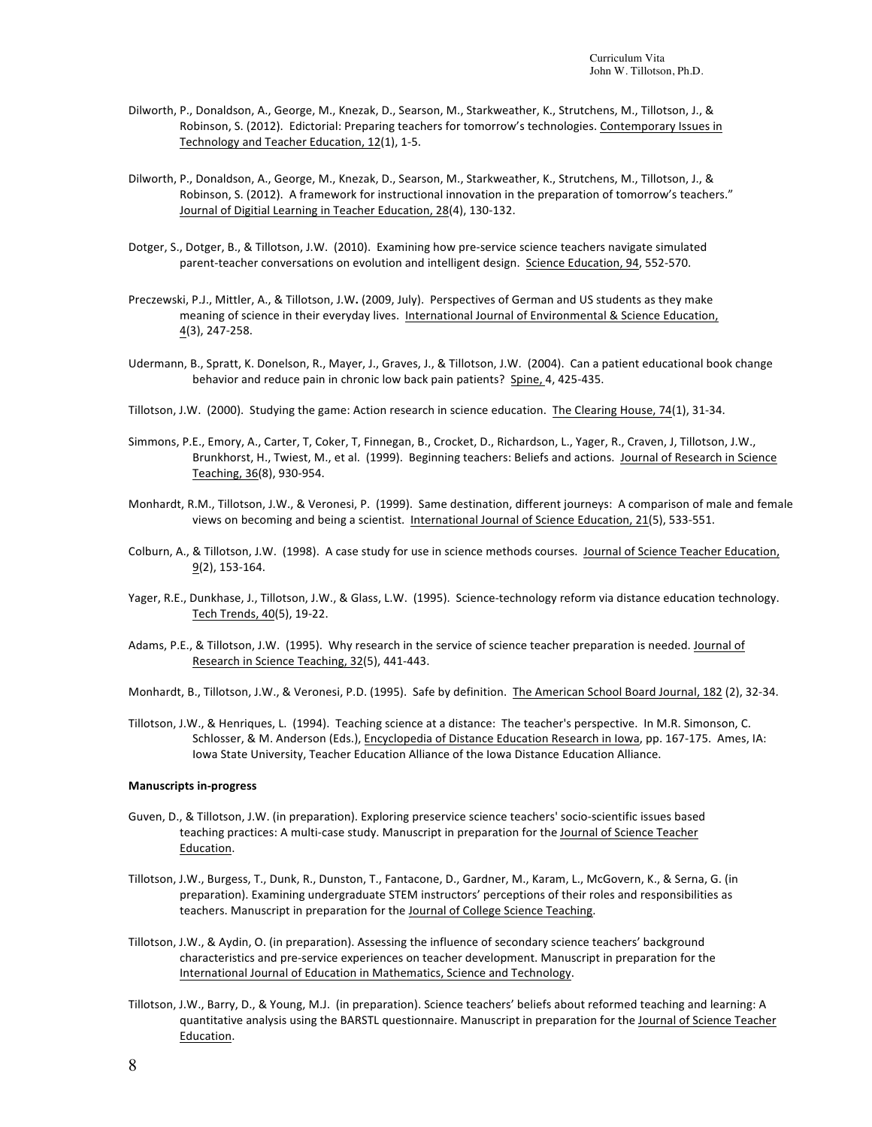- Dilworth, P., Donaldson, A., George, M., Knezak, D., Searson, M., Starkweather, K., Strutchens, M., Tillotson, J., & Robinson, S. (2012). Edictorial: Preparing teachers for tomorrow's technologies. Contemporary Issues in Technology and Teacher Education, 12(1), 1-5.
- Dilworth, P., Donaldson, A., George, M., Knezak, D., Searson, M., Starkweather, K., Strutchens, M., Tillotson, J., & Robinson, S. (2012). A framework for instructional innovation in the preparation of tomorrow's teachers." Journal of Digitial Learning in Teacher Education, 28(4), 130-132.
- Dotger, S., Dotger, B., & Tillotson, J.W. (2010). Examining how pre-service science teachers navigate simulated parent-teacher conversations on evolution and intelligent design. Science Education, 94, 552-570.
- Preczewski, P.J., Mittler, A., & Tillotson, J.W. (2009, July). Perspectives of German and US students as they make meaning of science in their everyday lives. International Journal of Environmental & Science Education, 4(3), 247-258.
- Udermann, B., Spratt, K. Donelson, R., Mayer, J., Graves, J., & Tillotson, J.W. (2004). Can a patient educational book change behavior and reduce pain in chronic low back pain patients? Spine, 4, 425-435.
- Tillotson, J.W. (2000). Studying the game: Action research in science education. The Clearing House, 74(1), 31-34.
- Simmons, P.E., Emory, A., Carter, T, Coker, T, Finnegan, B., Crocket, D., Richardson, L., Yager, R., Craven, J, Tillotson, J.W., Brunkhorst, H., Twiest, M., et al. (1999). Beginning teachers: Beliefs and actions. Journal of Research in Science Teaching, 36(8), 930-954.
- Monhardt, R.M., Tillotson, J.W., & Veronesi, P. (1999). Same destination, different journeys: A comparison of male and female views on becoming and being a scientist. International Journal of Science Education, 21(5), 533-551.
- Colburn, A., & Tillotson, J.W. (1998). A case study for use in science methods courses. Journal of Science Teacher Education, 9(2), 153-164.
- Yager, R.E., Dunkhase, J., Tillotson, J.W., & Glass, L.W. (1995). Science-technology reform via distance education technology. Tech Trends, 40(5), 19-22.
- Adams, P.E., & Tillotson, J.W. (1995). Why research in the service of science teacher preparation is needed. Journal of Research in Science Teaching, 32(5), 441-443.
- Monhardt, B., Tillotson, J.W., & Veronesi, P.D. (1995). Safe by definition. The American School Board Journal, 182 (2), 32-34.
- Tillotson, J.W., & Henriques, L. (1994). Teaching science at a distance: The teacher's perspective. In M.R. Simonson, C. Schlosser, & M. Anderson (Eds.), Encyclopedia of Distance Education Research in Iowa, pp. 167-175. Ames, IA: Iowa State University, Teacher Education Alliance of the Iowa Distance Education Alliance.

#### **Manuscripts in-progress**

- Guven, D., & Tillotson, J.W. (in preparation). Exploring preservice science teachers' socio-scientific issues based teaching practices: A multi-case study. Manuscript in preparation for the Journal of Science Teacher Education.
- Tillotson, J.W., Burgess, T., Dunk, R., Dunston, T., Fantacone, D., Gardner, M., Karam, L., McGovern, K., & Serna, G. (in preparation). Examining undergraduate STEM instructors' perceptions of their roles and responsibilities as teachers. Manuscript in preparation for the Journal of College Science Teaching.
- Tillotson, J.W., & Aydin, O. (in preparation). Assessing the influence of secondary science teachers' background characteristics and pre-service experiences on teacher development. Manuscript in preparation for the International Journal of Education in Mathematics, Science and Technology.
- Tillotson, J.W., Barry, D., & Young, M.J. (in preparation). Science teachers' beliefs about reformed teaching and learning: A quantitative analysis using the BARSTL questionnaire. Manuscript in preparation for the Journal of Science Teacher Education.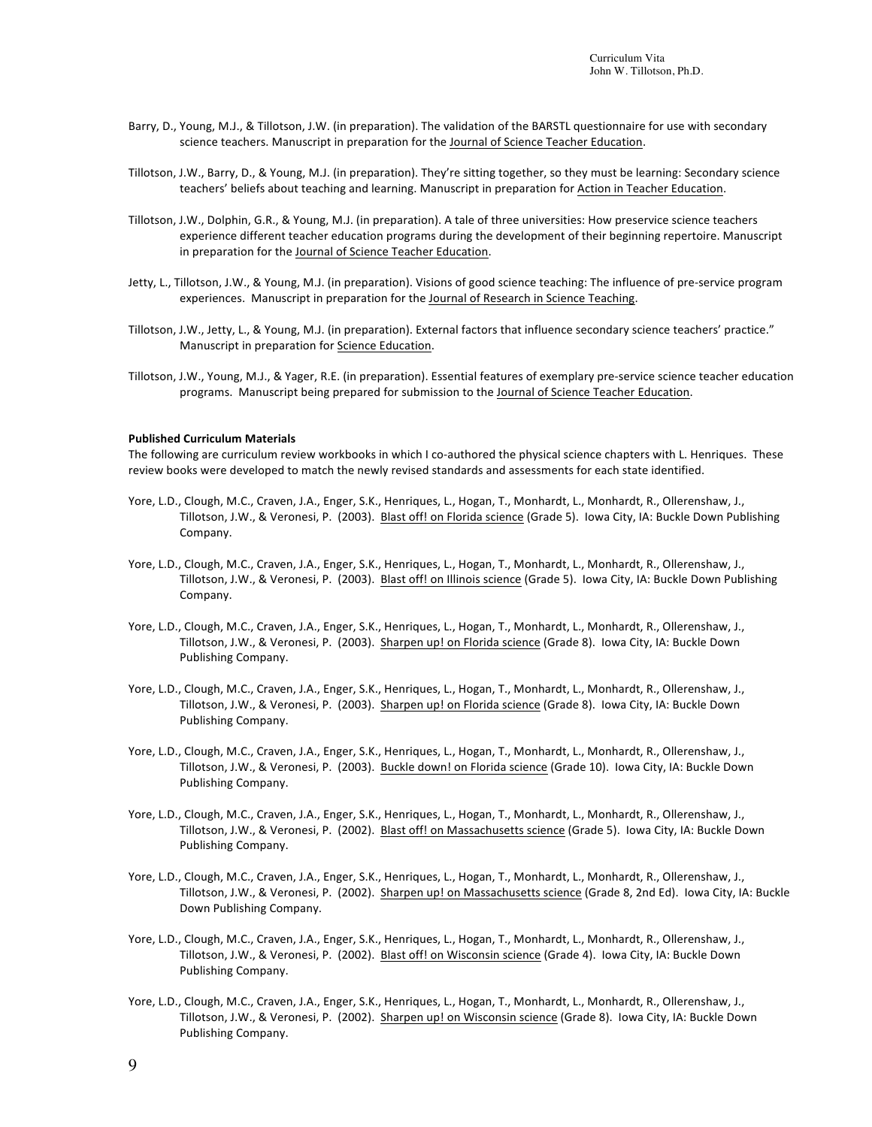- Barry, D., Young, M.J., & Tillotson, J.W. (in preparation). The validation of the BARSTL questionnaire for use with secondary science teachers. Manuscript in preparation for the Journal of Science Teacher Education.
- Tillotson, J.W., Barry, D., & Young, M.J. (in preparation). They're sitting together, so they must be learning: Secondary science teachers' beliefs about teaching and learning. Manuscript in preparation for Action in Teacher Education.
- Tillotson, J.W., Dolphin, G.R., & Young, M.J. (in preparation). A tale of three universities: How preservice science teachers experience different teacher education programs during the development of their beginning repertoire. Manuscript in preparation for the Journal of Science Teacher Education.
- Jetty, L., Tillotson, J.W., & Young, M.J. (in preparation). Visions of good science teaching: The influence of pre-service program experiences. Manuscript in preparation for the Journal of Research in Science Teaching.
- Tillotson, J.W., Jetty, L., & Young, M.J. (in preparation). External factors that influence secondary science teachers' practice." Manuscript in preparation for Science Education.
- Tillotson, J.W., Young, M.J., & Yager, R.E. (in preparation). Essential features of exemplary pre-service science teacher education programs. Manuscript being prepared for submission to the Journal of Science Teacher Education.

#### **Published Curriculum Materials**

The following are curriculum review workbooks in which I co-authored the physical science chapters with L. Henriques. These review books were developed to match the newly revised standards and assessments for each state identified.

- Yore, L.D., Clough, M.C., Craven, J.A., Enger, S.K., Henriques, L., Hogan, T., Monhardt, L., Monhardt, R., Ollerenshaw, J., Tillotson, J.W., & Veronesi, P. (2003). Blast off! on Florida science (Grade 5). Iowa City, IA: Buckle Down Publishing Company.
- Yore, L.D., Clough, M.C., Craven, J.A., Enger, S.K., Henriques, L., Hogan, T., Monhardt, L., Monhardt, R., Ollerenshaw, J., Tillotson, J.W., & Veronesi, P. (2003). Blast off! on Illinois science (Grade 5). Iowa City, IA: Buckle Down Publishing Company.
- Yore, L.D., Clough, M.C., Craven, J.A., Enger, S.K., Henriques, L., Hogan, T., Monhardt, L., Monhardt, R., Ollerenshaw, J., Tillotson, J.W., & Veronesi, P. (2003). Sharpen up! on Florida science (Grade 8). Iowa City, IA: Buckle Down Publishing Company.
- Yore, L.D., Clough, M.C., Craven, J.A., Enger, S.K., Henriques, L., Hogan, T., Monhardt, L., Monhardt, R., Ollerenshaw, J., Tillotson, J.W., & Veronesi, P. (2003). Sharpen up! on Florida science (Grade 8). Iowa City, IA: Buckle Down Publishing Company.
- Yore, L.D., Clough, M.C., Craven, J.A., Enger, S.K., Henriques, L., Hogan, T., Monhardt, L., Monhardt, R., Ollerenshaw, J., Tillotson, J.W., & Veronesi, P. (2003). Buckle down! on Florida science (Grade 10). Iowa City, IA: Buckle Down Publishing Company.
- Yore, L.D., Clough, M.C., Craven, J.A., Enger, S.K., Henriques, L., Hogan, T., Monhardt, L., Monhardt, R., Ollerenshaw, J., Tillotson, J.W., & Veronesi, P. (2002). Blast off! on Massachusetts science (Grade 5). Iowa City, IA: Buckle Down Publishing Company.
- Yore, L.D., Clough, M.C., Craven, J.A., Enger, S.K., Henriques, L., Hogan, T., Monhardt, L., Monhardt, R., Ollerenshaw, J., Tillotson, J.W., & Veronesi, P. (2002). Sharpen up! on Massachusetts science (Grade 8, 2nd Ed). Iowa City, IA: Buckle Down Publishing Company.
- Yore, L.D., Clough, M.C., Craven, J.A., Enger, S.K., Henriques, L., Hogan, T., Monhardt, L., Monhardt, R., Ollerenshaw, J., Tillotson, J.W., & Veronesi, P. (2002). Blast off! on Wisconsin science (Grade 4). Iowa City, IA: Buckle Down Publishing Company.
- Yore, L.D., Clough, M.C., Craven, J.A., Enger, S.K., Henriques, L., Hogan, T., Monhardt, L., Monhardt, R., Ollerenshaw, J., Tillotson, J.W., & Veronesi, P. (2002). Sharpen up! on Wisconsin science (Grade 8). Iowa City, IA: Buckle Down Publishing Company.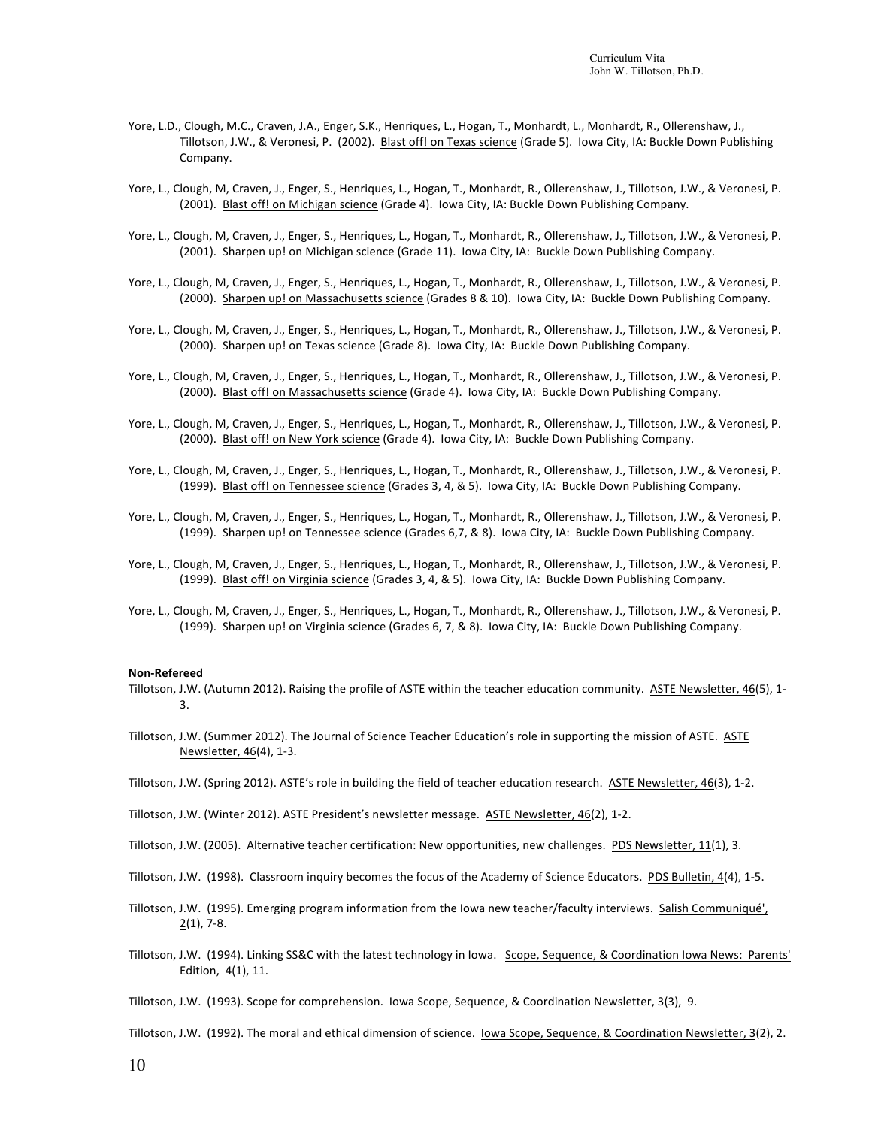- Yore, L.D., Clough, M.C., Craven, J.A., Enger, S.K., Henriques, L., Hogan, T., Monhardt, L., Monhardt, R., Ollerenshaw, J., Tillotson, J.W., & Veronesi, P. (2002). Blast off! on Texas science (Grade 5). Iowa City, IA: Buckle Down Publishing Company.
- Yore, L., Clough, M, Craven, J., Enger, S., Henriques, L., Hogan, T., Monhardt, R., Ollerenshaw, J., Tillotson, J.W., & Veronesi, P. (2001). Blast off! on Michigan science (Grade 4). Iowa City, IA: Buckle Down Publishing Company.
- Yore, L., Clough, M, Craven, J., Enger, S., Henriques, L., Hogan, T., Monhardt, R., Ollerenshaw, J., Tillotson, J.W., & Veronesi, P. (2001). Sharpen up! on Michigan science (Grade 11). lowa City, IA: Buckle Down Publishing Company.
- Yore, L., Clough, M, Craven, J., Enger, S., Henriques, L., Hogan, T., Monhardt, R., Ollerenshaw, J., Tillotson, J.W., & Veronesi, P. (2000). Sharpen up! on Massachusetts science (Grades 8 & 10). Iowa City, IA: Buckle Down Publishing Company.
- Yore, L., Clough, M, Craven, J., Enger, S., Henriques, L., Hogan, T., Monhardt, R., Ollerenshaw, J., Tillotson, J.W., & Veronesi, P. (2000). Sharpen up! on Texas science (Grade 8). Iowa City, IA: Buckle Down Publishing Company.
- Yore, L., Clough, M, Craven, J., Enger, S., Henriques, L., Hogan, T., Monhardt, R., Ollerenshaw, J., Tillotson, J.W., & Veronesi, P. (2000). Blast off! on Massachusetts science (Grade 4). Iowa City, IA: Buckle Down Publishing Company.
- Yore, L., Clough, M, Craven, J., Enger, S., Henriques, L., Hogan, T., Monhardt, R., Ollerenshaw, J., Tillotson, J.W., & Veronesi, P. (2000). Blast off! on New York science (Grade 4). Iowa City, IA: Buckle Down Publishing Company.
- Yore, L., Clough, M, Craven, J., Enger, S., Henriques, L., Hogan, T., Monhardt, R., Ollerenshaw, J., Tillotson, J.W., & Veronesi, P. (1999). Blast off! on Tennessee science (Grades 3, 4, & 5). Iowa City, IA: Buckle Down Publishing Company.
- Yore, L., Clough, M, Craven, J., Enger, S., Henriques, L., Hogan, T., Monhardt, R., Ollerenshaw, J., Tillotson, J.W., & Veronesi, P. (1999). Sharpen up! on Tennessee science (Grades 6,7, & 8). Iowa City, IA: Buckle Down Publishing Company.
- Yore, L., Clough, M, Craven, J., Enger, S., Henriques, L., Hogan, T., Monhardt, R., Ollerenshaw, J., Tillotson, J.W., & Veronesi, P. (1999). Blast off! on Virginia science (Grades 3, 4, & 5). Iowa City, IA: Buckle Down Publishing Company.
- Yore, L., Clough, M, Craven, J., Enger, S., Henriques, L., Hogan, T., Monhardt, R., Ollerenshaw, J., Tillotson, J.W., & Veronesi, P. (1999). Sharpen up! on Virginia science (Grades 6, 7, & 8). Iowa City, IA: Buckle Down Publishing Company.

#### **Non-Refereed**

- Tillotson, J.W. (Autumn 2012). Raising the profile of ASTE within the teacher education community. ASTE Newsletter, 46(5), 1-3.
- Tillotson, J.W. (Summer 2012). The Journal of Science Teacher Education's role in supporting the mission of ASTE. ASTE Newsletter, 46(4), 1-3.
- Tillotson, J.W. (Spring 2012). ASTE's role in building the field of teacher education research. ASTE Newsletter, 46(3), 1-2.
- Tillotson, J.W. (Winter 2012). ASTE President's newsletter message. ASTE Newsletter, 46(2), 1-2.
- Tillotson, J.W. (2005). Alternative teacher certification: New opportunities, new challenges. PDS Newsletter, 11(1), 3.
- Tillotson, J.W. (1998). Classroom inquiry becomes the focus of the Academy of Science Educators. PDS Bulletin, 4(4), 1-5.
- Tillotson, J.W. (1995). Emerging program information from the lowa new teacher/faculty interviews. Salish Communiqué',  $2(1)$ , 7-8.
- Tillotson, J.W. (1994). Linking SS&C with the latest technology in Iowa. Scope, Sequence, & Coordination Iowa News: Parents' Edition, 4(1), 11.
- Tillotson, J.W. (1993). Scope for comprehension. lowa Scope, Sequence, & Coordination Newsletter, 3(3), 9.
- Tillotson, J.W. (1992). The moral and ethical dimension of science. lowa Scope, Sequence, & Coordination Newsletter, 3(2), 2.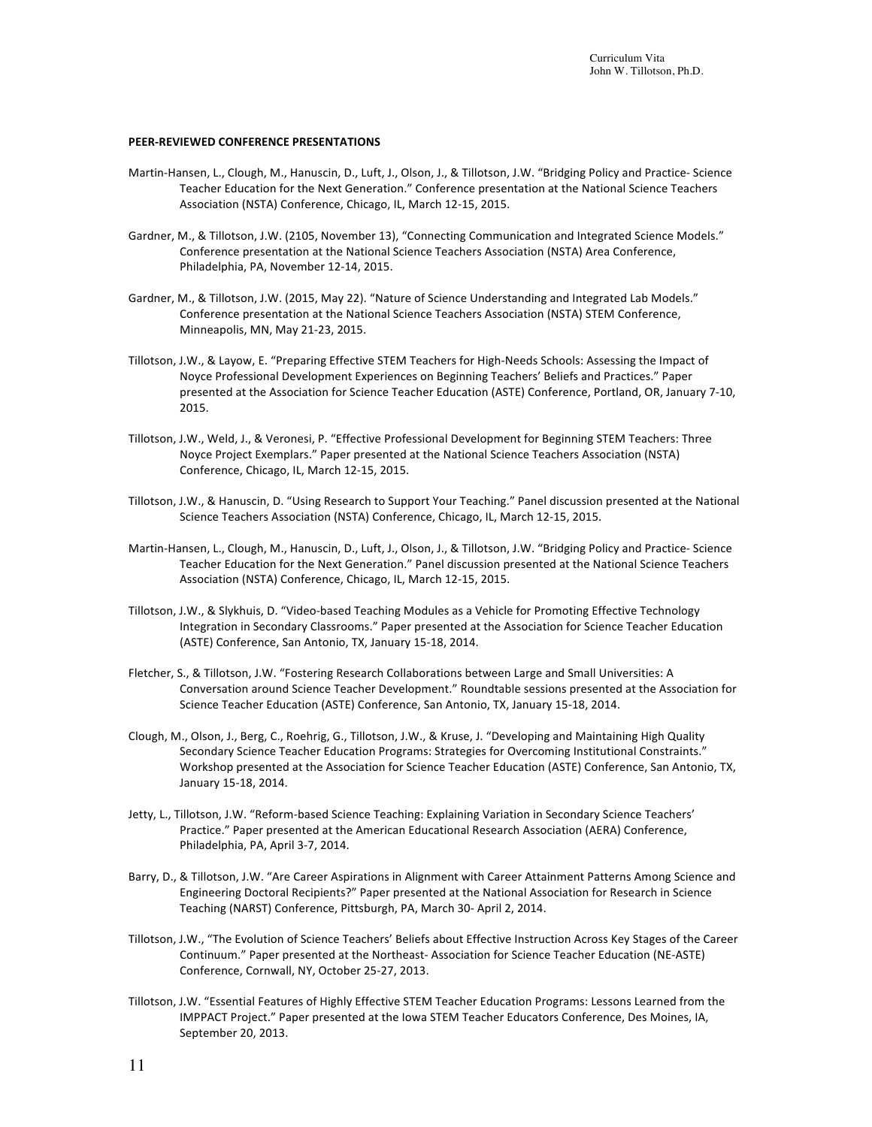#### **PEER-REVIEWED CONFERENCE PRESENTATIONS**

- Martin-Hansen, L., Clough, M., Hanuscin, D., Luft, J., Olson, J., & Tillotson, J.W. "Bridging Policy and Practice- Science Teacher Education for the Next Generation." Conference presentation at the National Science Teachers Association (NSTA) Conference, Chicago, IL, March 12-15, 2015.
- Gardner, M., & Tillotson, J.W. (2105, November 13), "Connecting Communication and Integrated Science Models." Conference presentation at the National Science Teachers Association (NSTA) Area Conference, Philadelphia, PA, November 12-14, 2015.
- Gardner, M., & Tillotson, J.W. (2015, May 22). "Nature of Science Understanding and Integrated Lab Models." Conference presentation at the National Science Teachers Association (NSTA) STEM Conference, Minneapolis, MN, May 21-23, 2015.
- Tillotson, J.W., & Layow, E. "Preparing Effective STEM Teachers for High-Needs Schools: Assessing the Impact of Noyce Professional Development Experiences on Beginning Teachers' Beliefs and Practices." Paper presented at the Association for Science Teacher Education (ASTE) Conference, Portland, OR, January 7-10, 2015.
- Tillotson, J.W., Weld, J., & Veronesi, P. "Effective Professional Development for Beginning STEM Teachers: Three Noyce Project Exemplars." Paper presented at the National Science Teachers Association (NSTA) Conference, Chicago, IL, March 12-15, 2015.
- Tillotson, J.W., & Hanuscin, D. "Using Research to Support Your Teaching." Panel discussion presented at the National Science Teachers Association (NSTA) Conference, Chicago, IL, March 12-15, 2015.
- Martin-Hansen, L., Clough, M., Hanuscin, D., Luft, J., Olson, J., & Tillotson, J.W. "Bridging Policy and Practice- Science Teacher Education for the Next Generation." Panel discussion presented at the National Science Teachers Association (NSTA) Conference, Chicago, IL, March 12-15, 2015.
- Tillotson, J.W., & Slykhuis, D. "Video-based Teaching Modules as a Vehicle for Promoting Effective Technology Integration in Secondary Classrooms." Paper presented at the Association for Science Teacher Education (ASTE) Conference, San Antonio, TX, January 15-18, 2014.
- Fletcher, S., & Tillotson, J.W. "Fostering Research Collaborations between Large and Small Universities: A Conversation around Science Teacher Development." Roundtable sessions presented at the Association for Science Teacher Education (ASTE) Conference, San Antonio, TX, January 15-18, 2014.
- Clough, M., Olson, J., Berg, C., Roehrig, G., Tillotson, J.W., & Kruse, J. "Developing and Maintaining High Quality Secondary Science Teacher Education Programs: Strategies for Overcoming Institutional Constraints." Workshop presented at the Association for Science Teacher Education (ASTE) Conference, San Antonio, TX, January 15-18, 2014.
- Jetty, L., Tillotson, J.W. "Reform-based Science Teaching: Explaining Variation in Secondary Science Teachers' Practice." Paper presented at the American Educational Research Association (AERA) Conference, Philadelphia, PA, April 3-7, 2014.
- Barry, D., & Tillotson, J.W. "Are Career Aspirations in Alignment with Career Attainment Patterns Among Science and Engineering Doctoral Recipients?" Paper presented at the National Association for Research in Science Teaching (NARST) Conference, Pittsburgh, PA, March 30- April 2, 2014.
- Tillotson, J.W., "The Evolution of Science Teachers' Beliefs about Effective Instruction Across Key Stages of the Career Continuum." Paper presented at the Northeast- Association for Science Teacher Education (NE-ASTE) Conference, Cornwall, NY, October 25-27, 2013.
- Tillotson, J.W. "Essential Features of Highly Effective STEM Teacher Education Programs: Lessons Learned from the IMPPACT Project." Paper presented at the Iowa STEM Teacher Educators Conference, Des Moines, IA, September 20, 2013.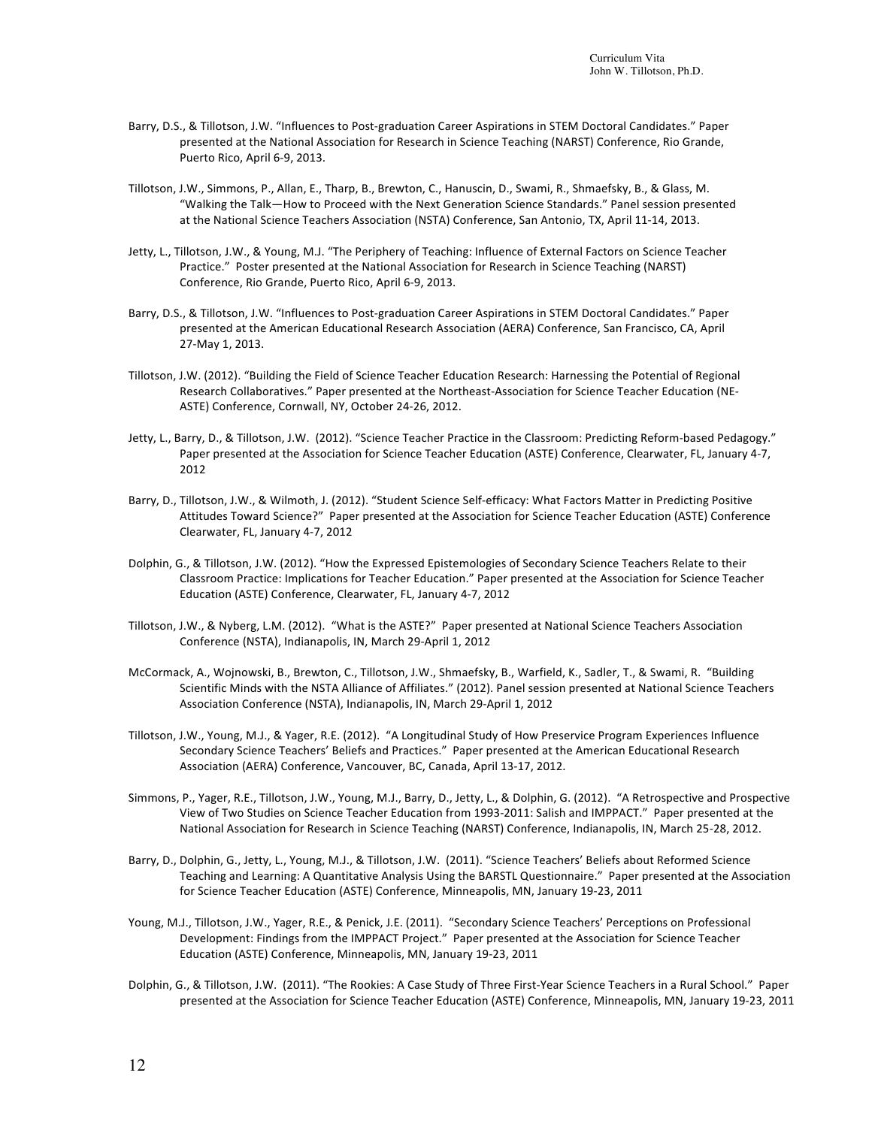- Barry, D.S., & Tillotson, J.W. "Influences to Post-graduation Career Aspirations in STEM Doctoral Candidates." Paper presented at the National Association for Research in Science Teaching (NARST) Conference, Rio Grande, Puerto Rico, April 6-9, 2013.
- Tillotson, J.W., Simmons, P., Allan, E., Tharp, B., Brewton, C., Hanuscin, D., Swami, R., Shmaefsky, B., & Glass, M. "Walking the Talk—How to Proceed with the Next Generation Science Standards." Panel session presented at the National Science Teachers Association (NSTA) Conference, San Antonio, TX, April 11-14, 2013.
- Jetty, L., Tillotson, J.W., & Young, M.J. "The Periphery of Teaching: Influence of External Factors on Science Teacher Practice." Poster presented at the National Association for Research in Science Teaching (NARST) Conference, Rio Grande, Puerto Rico, April 6-9, 2013.
- Barry, D.S., & Tillotson, J.W. "Influences to Post-graduation Career Aspirations in STEM Doctoral Candidates." Paper presented at the American Educational Research Association (AERA) Conference, San Francisco, CA, April 27-May 1, 2013.
- Tillotson, J.W. (2012). "Building the Field of Science Teacher Education Research: Harnessing the Potential of Regional Research Collaboratives." Paper presented at the Northeast-Association for Science Teacher Education (NE-ASTE) Conference, Cornwall, NY, October 24-26, 2012.
- Jetty, L., Barry, D., & Tillotson, J.W. (2012). "Science Teacher Practice in the Classroom: Predicting Reform-based Pedagogy." Paper presented at the Association for Science Teacher Education (ASTE) Conference, Clearwater, FL, January 4-7, 2012
- Barry, D., Tillotson, J.W., & Wilmoth, J. (2012). "Student Science Self-efficacy: What Factors Matter in Predicting Positive Attitudes Toward Science?" Paper presented at the Association for Science Teacher Education (ASTE) Conference Clearwater, FL, January 4-7, 2012
- Dolphin, G., & Tillotson, J.W. (2012). "How the Expressed Epistemologies of Secondary Science Teachers Relate to their Classroom Practice: Implications for Teacher Education." Paper presented at the Association for Science Teacher Education (ASTE) Conference, Clearwater, FL, January 4-7, 2012
- Tillotson, J.W., & Nyberg, L.M. (2012). "What is the ASTE?" Paper presented at National Science Teachers Association Conference (NSTA), Indianapolis, IN, March 29-April 1, 2012
- McCormack, A., Wojnowski, B., Brewton, C., Tillotson, J.W., Shmaefsky, B., Warfield, K., Sadler, T., & Swami, R. "Building Scientific Minds with the NSTA Alliance of Affiliates." (2012). Panel session presented at National Science Teachers Association Conference (NSTA), Indianapolis, IN, March 29-April 1, 2012
- Tillotson, J.W., Young, M.J., & Yager, R.E. (2012). "A Longitudinal Study of How Preservice Program Experiences Influence Secondary Science Teachers' Beliefs and Practices." Paper presented at the American Educational Research Association (AERA) Conference, Vancouver, BC, Canada, April 13-17, 2012.
- Simmons, P., Yager, R.E., Tillotson, J.W., Young, M.J., Barry, D., Jetty, L., & Dolphin, G. (2012). "A Retrospective and Prospective View of Two Studies on Science Teacher Education from 1993-2011: Salish and IMPPACT." Paper presented at the National Association for Research in Science Teaching (NARST) Conference, Indianapolis, IN, March 25-28, 2012.
- Barry, D., Dolphin, G., Jetty, L., Young, M.J., & Tillotson, J.W. (2011). "Science Teachers' Beliefs about Reformed Science Teaching and Learning: A Quantitative Analysis Using the BARSTL Questionnaire." Paper presented at the Association for Science Teacher Education (ASTE) Conference, Minneapolis, MN, January 19-23, 2011
- Young, M.J., Tillotson, J.W., Yager, R.E., & Penick, J.E. (2011). "Secondary Science Teachers' Perceptions on Professional Development: Findings from the IMPPACT Project." Paper presented at the Association for Science Teacher Education (ASTE) Conference, Minneapolis, MN, January 19-23, 2011
- Dolphin, G., & Tillotson, J.W. (2011). "The Rookies: A Case Study of Three First-Year Science Teachers in a Rural School." Paper presented at the Association for Science Teacher Education (ASTE) Conference, Minneapolis, MN, January 19-23, 2011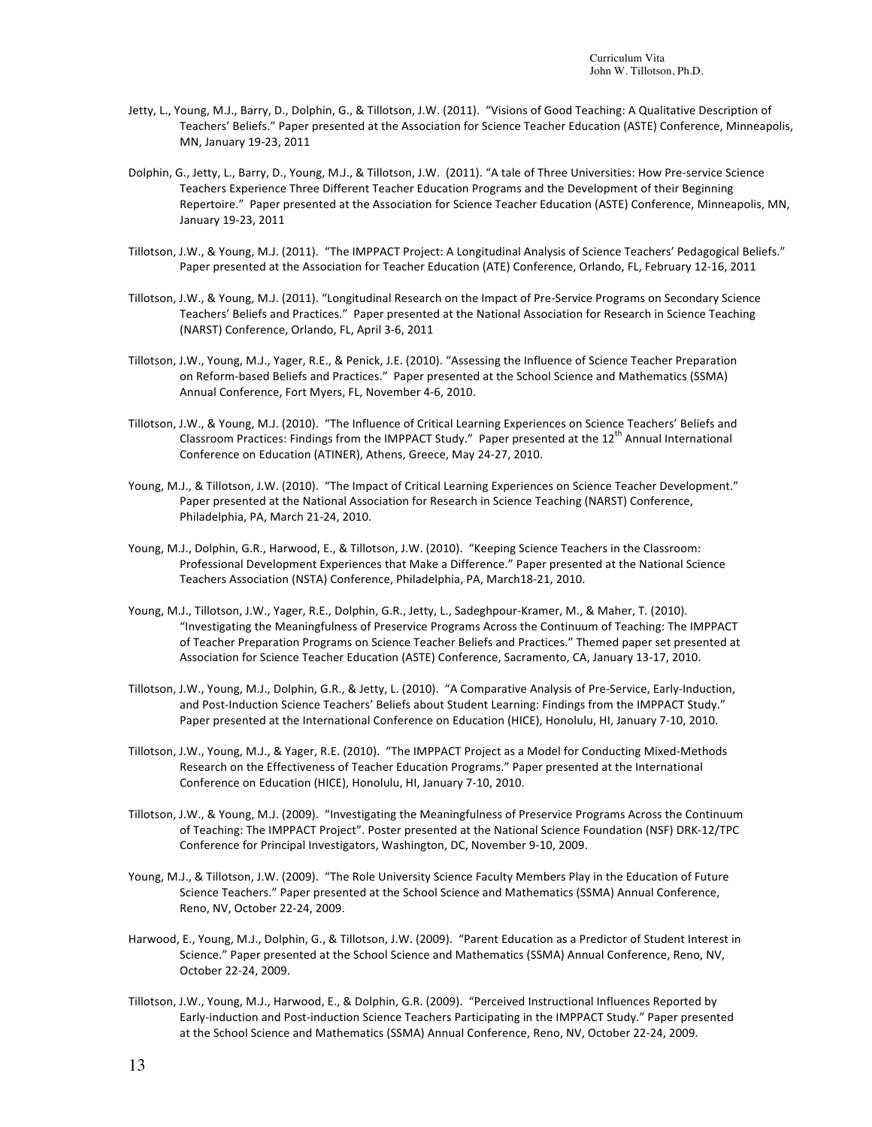- Jetty, L., Young, M.J., Barry, D., Dolphin, G., & Tillotson, J.W. (2011). "Visions of Good Teaching: A Qualitative Description of Teachers' Beliefs." Paper presented at the Association for Science Teacher Education (ASTE) Conference, Minneapolis, MN, January 19-23, 2011
- Dolphin, G., Jetty, L., Barry, D., Young, M.J., & Tillotson, J.W. (2011). "A tale of Three Universities: How Pre-service Science Teachers Experience Three Different Teacher Education Programs and the Development of their Beginning Repertoire." Paper presented at the Association for Science Teacher Education (ASTE) Conference, Minneapolis, MN, January 19-23, 2011
- Tillotson, J.W., & Young, M.J. (2011). "The IMPPACT Project: A Longitudinal Analysis of Science Teachers' Pedagogical Beliefs." Paper presented at the Association for Teacher Education (ATE) Conference, Orlando, FL, February 12-16, 2011
- Tillotson, J.W., & Young, M.J. (2011). "Longitudinal Research on the Impact of Pre-Service Programs on Secondary Science Teachers' Beliefs and Practices." Paper presented at the National Association for Research in Science Teaching (NARST) Conference, Orlando, FL, April 3-6, 2011
- Tillotson, J.W., Young, M.J., Yager, R.E., & Penick, J.E. (2010). "Assessing the Influence of Science Teacher Preparation on Reform-based Beliefs and Practices." Paper presented at the School Science and Mathematics (SSMA) Annual Conference, Fort Myers, FL, November 4-6, 2010.
- Tillotson, J.W., & Young, M.J. (2010). "The Influence of Critical Learning Experiences on Science Teachers' Beliefs and Classroom Practices: Findings from the IMPPACT Study." Paper presented at the 12<sup>th</sup> Annual International Conference on Education (ATINER), Athens, Greece, May 24-27, 2010.
- Young, M.J., & Tillotson, J.W. (2010). "The Impact of Critical Learning Experiences on Science Teacher Development." Paper presented at the National Association for Research in Science Teaching (NARST) Conference, Philadelphia, PA, March 21-24, 2010.
- Young, M.J., Dolphin, G.R., Harwood, E., & Tillotson, J.W. (2010). "Keeping Science Teachers in the Classroom: Professional Development Experiences that Make a Difference." Paper presented at the National Science Teachers Association (NSTA) Conference, Philadelphia, PA, March18-21, 2010.
- Young, M.J., Tillotson, J.W., Yager, R.E., Dolphin, G.R., Jetty, L., Sadeghpour-Kramer, M., & Maher, T. (2010). "Investigating the Meaningfulness of Preservice Programs Across the Continuum of Teaching: The IMPPACT of Teacher Preparation Programs on Science Teacher Beliefs and Practices." Themed paper set presented at Association for Science Teacher Education (ASTE) Conference, Sacramento, CA, January 13-17, 2010.
- Tillotson, J.W., Young, M.J., Dolphin, G.R., & Jetty, L. (2010). "A Comparative Analysis of Pre-Service, Early-Induction, and Post-Induction Science Teachers' Beliefs about Student Learning: Findings from the IMPPACT Study." Paper presented at the International Conference on Education (HICE), Honolulu, HI, January 7-10, 2010.
- Tillotson, J.W., Young, M.J., & Yager, R.E. (2010). "The IMPPACT Project as a Model for Conducting Mixed-Methods Research on the Effectiveness of Teacher Education Programs." Paper presented at the International Conference on Education (HICE), Honolulu, HI, January 7-10, 2010.
- Tillotson, J.W., & Young, M.J. (2009). "Investigating the Meaningfulness of Preservice Programs Across the Continuum of Teaching: The IMPPACT Project". Poster presented at the National Science Foundation (NSF) DRK-12/TPC Conference for Principal Investigators, Washington, DC, November 9-10, 2009.
- Young, M.J., & Tillotson, J.W. (2009). "The Role University Science Faculty Members Play in the Education of Future Science Teachers." Paper presented at the School Science and Mathematics (SSMA) Annual Conference, Reno, NV, October 22-24, 2009.
- Harwood, E., Young, M.J., Dolphin, G., & Tillotson, J.W. (2009). "Parent Education as a Predictor of Student Interest in Science." Paper presented at the School Science and Mathematics (SSMA) Annual Conference, Reno, NV, October 22-24, 2009.
- Tillotson, J.W., Young, M.J., Harwood, E., & Dolphin, G.R. (2009). "Perceived Instructional Influences Reported by Early-induction and Post-induction Science Teachers Participating in the IMPPACT Study." Paper presented at the School Science and Mathematics (SSMA) Annual Conference, Reno, NV, October 22-24, 2009.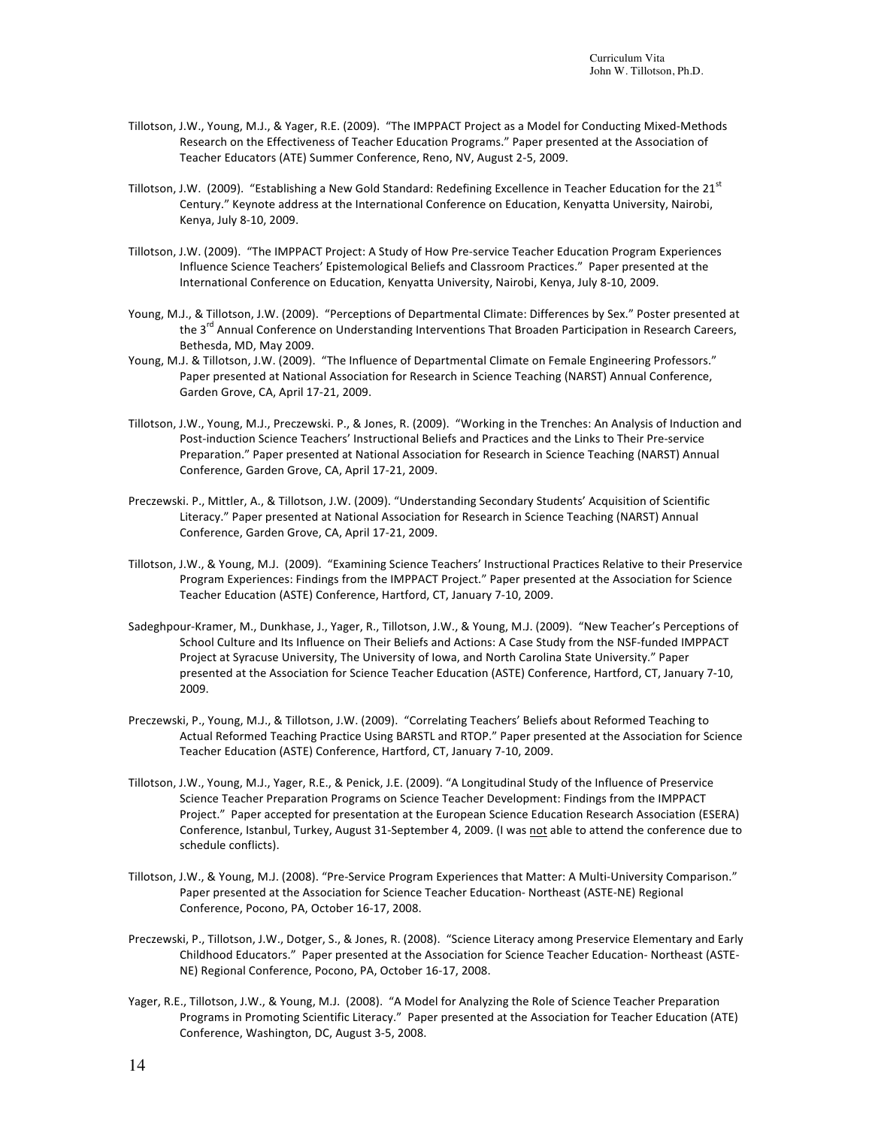- Tillotson, J.W., Young, M.J., & Yager, R.E. (2009). "The IMPPACT Project as a Model for Conducting Mixed-Methods Research on the Effectiveness of Teacher Education Programs." Paper presented at the Association of Teacher Educators (ATE) Summer Conference, Reno, NV, August 2-5, 2009.
- Tillotson, J.W. (2009). "Establishing a New Gold Standard: Redefining Excellence in Teacher Education for the 21 $^{51}$ Century." Keynote address at the International Conference on Education, Kenyatta University, Nairobi, Kenya, July 8-10, 2009.
- Tillotson, J.W. (2009). "The IMPPACT Project: A Study of How Pre-service Teacher Education Program Experiences Influence Science Teachers' Epistemological Beliefs and Classroom Practices." Paper presented at the International Conference on Education, Kenyatta University, Nairobi, Kenya, July 8-10, 2009.
- Young, M.J., & Tillotson, J.W. (2009). "Perceptions of Departmental Climate: Differences by Sex." Poster presented at the 3<sup>rd</sup> Annual Conference on Understanding Interventions That Broaden Participation in Research Careers, Bethesda, MD, May 2009.
- Young, M.J. & Tillotson, J.W. (2009). "The Influence of Departmental Climate on Female Engineering Professors." Paper presented at National Association for Research in Science Teaching (NARST) Annual Conference, Garden Grove, CA, April 17-21, 2009.
- Tillotson, J.W., Young, M.J., Preczewski. P., & Jones, R. (2009). "Working in the Trenches: An Analysis of Induction and Post-induction Science Teachers' Instructional Beliefs and Practices and the Links to Their Pre-service Preparation." Paper presented at National Association for Research in Science Teaching (NARST) Annual Conference, Garden Grove, CA, April 17-21, 2009.
- Preczewski. P., Mittler, A., & Tillotson, J.W. (2009). "Understanding Secondary Students' Acquisition of Scientific Literacy." Paper presented at National Association for Research in Science Teaching (NARST) Annual Conference, Garden Grove, CA, April 17-21, 2009.
- Tillotson, J.W., & Young, M.J. (2009). "Examining Science Teachers' Instructional Practices Relative to their Preservice Program Experiences: Findings from the IMPPACT Project." Paper presented at the Association for Science Teacher Education (ASTE) Conference, Hartford, CT, January 7-10, 2009.
- Sadeghpour-Kramer, M., Dunkhase, J., Yager, R., Tillotson, J.W., & Young, M.J. (2009). "New Teacher's Perceptions of School Culture and Its Influence on Their Beliefs and Actions: A Case Study from the NSF-funded IMPPACT Project at Syracuse University, The University of Iowa, and North Carolina State University." Paper presented at the Association for Science Teacher Education (ASTE) Conference, Hartford, CT, January 7-10, 2009.
- Preczewski, P., Young, M.J., & Tillotson, J.W. (2009). "Correlating Teachers' Beliefs about Reformed Teaching to Actual Reformed Teaching Practice Using BARSTL and RTOP." Paper presented at the Association for Science Teacher Education (ASTE) Conference, Hartford, CT, January 7-10, 2009.
- Tillotson, J.W., Young, M.J., Yager, R.E., & Penick, J.E. (2009). "A Longitudinal Study of the Influence of Preservice Science Teacher Preparation Programs on Science Teacher Development: Findings from the IMPPACT Project." Paper accepted for presentation at the European Science Education Research Association (ESERA) Conference, Istanbul, Turkey, August 31-September 4, 2009. (I was not able to attend the conference due to schedule conflicts).
- Tillotson, J.W., & Young, M.J. (2008). "Pre-Service Program Experiences that Matter: A Multi-University Comparison." Paper presented at the Association for Science Teacher Education- Northeast (ASTE-NE) Regional Conference, Pocono, PA, October 16-17, 2008.
- Preczewski, P., Tillotson, J.W., Dotger, S., & Jones, R. (2008). "Science Literacy among Preservice Elementary and Early Childhood Educators." Paper presented at the Association for Science Teacher Education- Northeast (ASTE-NE) Regional Conference, Pocono, PA, October 16-17, 2008.
- Yager, R.E., Tillotson, J.W., & Young, M.J. (2008). "A Model for Analyzing the Role of Science Teacher Preparation Programs in Promoting Scientific Literacy." Paper presented at the Association for Teacher Education (ATE) Conference, Washington, DC, August 3-5, 2008.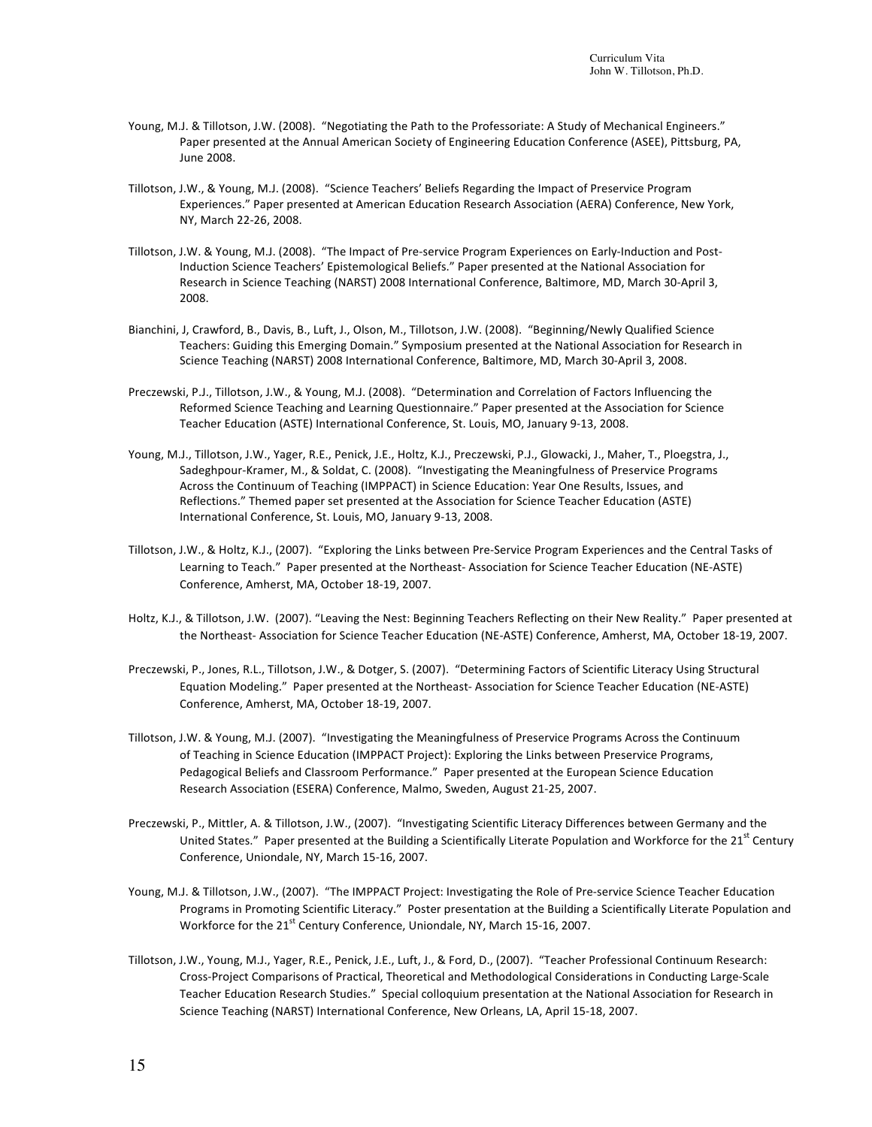- Young, M.J. & Tillotson, J.W. (2008). "Negotiating the Path to the Professoriate: A Study of Mechanical Engineers." Paper presented at the Annual American Society of Engineering Education Conference (ASEE), Pittsburg, PA, June 2008.
- Tillotson, J.W., & Young, M.J. (2008). "Science Teachers' Beliefs Regarding the Impact of Preservice Program Experiences." Paper presented at American Education Research Association (AERA) Conference, New York, NY, March 22-26, 2008.
- Tillotson, J.W. & Young, M.J. (2008). "The Impact of Pre-service Program Experiences on Early-Induction and Post-Induction Science Teachers' Epistemological Beliefs." Paper presented at the National Association for Research in Science Teaching (NARST) 2008 International Conference, Baltimore, MD, March 30-April 3, 2008.
- Bianchini, J, Crawford, B., Davis, B., Luft, J., Olson, M., Tillotson, J.W. (2008). "Beginning/Newly Qualified Science Teachers: Guiding this Emerging Domain." Symposium presented at the National Association for Research in Science Teaching (NARST) 2008 International Conference, Baltimore, MD, March 30-April 3, 2008.
- Preczewski, P.J., Tillotson, J.W., & Young, M.J. (2008). "Determination and Correlation of Factors Influencing the Reformed Science Teaching and Learning Questionnaire." Paper presented at the Association for Science Teacher Education (ASTE) International Conference, St. Louis, MO, January 9-13, 2008.
- Young, M.J., Tillotson, J.W., Yager, R.E., Penick, J.E., Holtz, K.J., Preczewski, P.J., Glowacki, J., Maher, T., Ploegstra, J., Sadeghpour-Kramer, M., & Soldat, C. (2008). "Investigating the Meaningfulness of Preservice Programs Across the Continuum of Teaching (IMPPACT) in Science Education: Year One Results, Issues, and Reflections." Themed paper set presented at the Association for Science Teacher Education (ASTE) International Conference, St. Louis, MO, January 9-13, 2008.
- Tillotson, J.W., & Holtz, K.J., (2007). "Exploring the Links between Pre-Service Program Experiences and the Central Tasks of Learning to Teach." Paper presented at the Northeast- Association for Science Teacher Education (NE-ASTE) Conference, Amherst, MA, October 18-19, 2007.
- Holtz, K.J., & Tillotson, J.W. (2007). "Leaving the Nest: Beginning Teachers Reflecting on their New Reality." Paper presented at the Northeast- Association for Science Teacher Education (NE-ASTE) Conference, Amherst, MA, October 18-19, 2007.
- Preczewski, P., Jones, R.L., Tillotson, J.W., & Dotger, S. (2007). "Determining Factors of Scientific Literacy Using Structural Equation Modeling." Paper presented at the Northeast-Association for Science Teacher Education (NE-ASTE) Conference, Amherst, MA, October 18-19, 2007.
- Tillotson, J.W. & Young, M.J. (2007). "Investigating the Meaningfulness of Preservice Programs Across the Continuum of Teaching in Science Education (IMPPACT Project): Exploring the Links between Preservice Programs, Pedagogical Beliefs and Classroom Performance." Paper presented at the European Science Education Research Association (ESERA) Conference, Malmo, Sweden, August 21-25, 2007.
- Preczewski, P., Mittler, A. & Tillotson, J.W., (2007). "Investigating Scientific Literacy Differences between Germany and the United States." Paper presented at the Building a Scientifically Literate Population and Workforce for the 21<sup>st</sup> Century Conference, Uniondale, NY, March 15-16, 2007.
- Young, M.J. & Tillotson, J.W., (2007). "The IMPPACT Project: Investigating the Role of Pre-service Science Teacher Education Programs in Promoting Scientific Literacy." Poster presentation at the Building a Scientifically Literate Population and Workforce for the 21<sup>st</sup> Century Conference, Uniondale, NY, March 15-16, 2007.
- Tillotson, J.W., Young, M.J., Yager, R.E., Penick, J.E., Luft, J., & Ford, D., (2007). "Teacher Professional Continuum Research: Cross-Project Comparisons of Practical, Theoretical and Methodological Considerations in Conducting Large-Scale Teacher Education Research Studies." Special colloquium presentation at the National Association for Research in Science Teaching (NARST) International Conference, New Orleans, LA, April 15-18, 2007.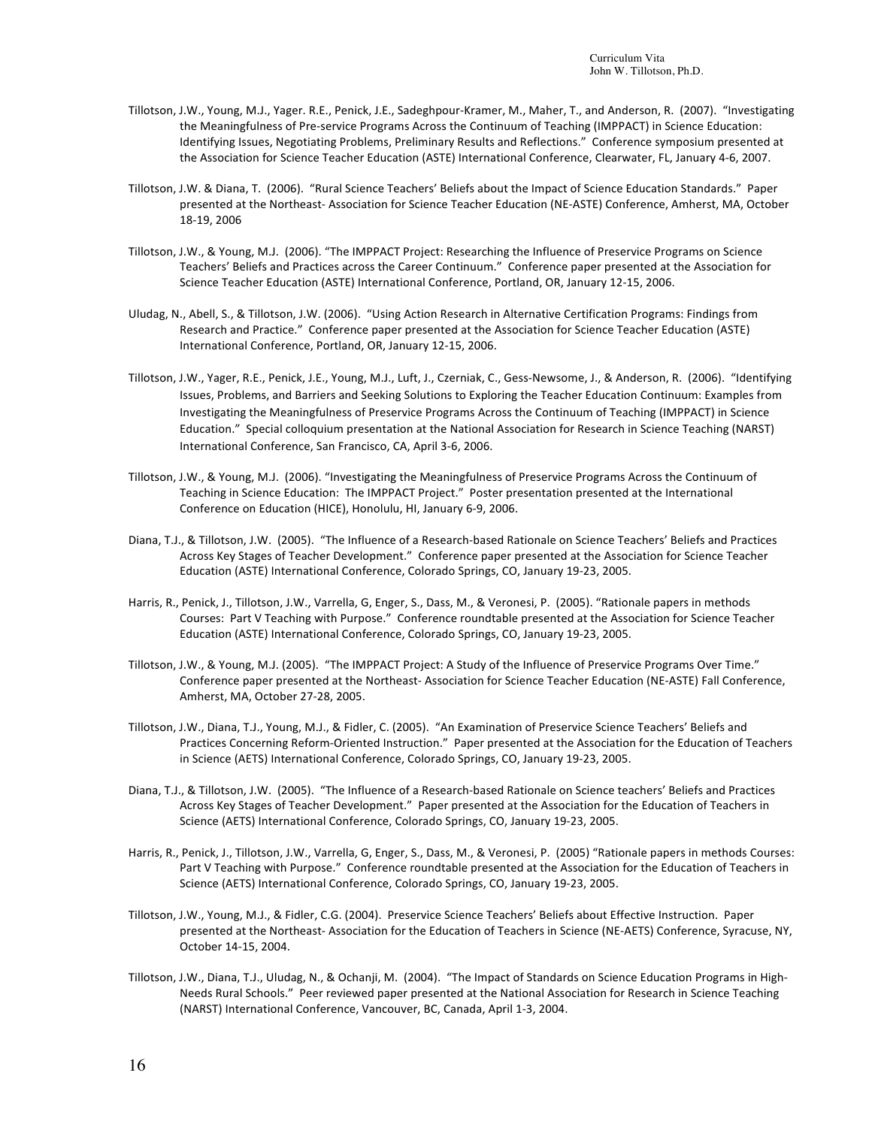- Tillotson, J.W., Young, M.J., Yager. R.E., Penick, J.E., Sadeghpour-Kramer, M., Maher, T., and Anderson, R. (2007). "Investigating the Meaningfulness of Pre-service Programs Across the Continuum of Teaching (IMPPACT) in Science Education: Identifying Issues, Negotiating Problems, Preliminary Results and Reflections." Conference symposium presented at the Association for Science Teacher Education (ASTE) International Conference, Clearwater, FL, January 4-6, 2007.
- Tillotson, J.W. & Diana, T. (2006). "Rural Science Teachers' Beliefs about the Impact of Science Education Standards." Paper presented at the Northeast- Association for Science Teacher Education (NE-ASTE) Conference, Amherst, MA, October 18-19, 2006
- Tillotson, J.W., & Young, M.J. (2006). "The IMPPACT Project: Researching the Influence of Preservice Programs on Science Teachers' Beliefs and Practices across the Career Continuum." Conference paper presented at the Association for Science Teacher Education (ASTE) International Conference, Portland, OR, January 12-15, 2006.
- Uludag, N., Abell, S., & Tillotson, J.W. (2006). "Using Action Research in Alternative Certification Programs: Findings from Research and Practice." Conference paper presented at the Association for Science Teacher Education (ASTE) International Conference, Portland, OR, January 12-15, 2006.
- Tillotson, J.W., Yager, R.E., Penick, J.E., Young, M.J., Luft, J., Czerniak, C., Gess-Newsome, J., & Anderson, R. (2006). "Identifying Issues, Problems, and Barriers and Seeking Solutions to Exploring the Teacher Education Continuum: Examples from Investigating the Meaningfulness of Preservice Programs Across the Continuum of Teaching (IMPPACT) in Science Education." Special colloquium presentation at the National Association for Research in Science Teaching (NARST) International Conference, San Francisco, CA, April 3-6, 2006.
- Tillotson, J.W., & Young, M.J. (2006). "Investigating the Meaningfulness of Preservice Programs Across the Continuum of Teaching in Science Education: The IMPPACT Project." Poster presentation presented at the International Conference on Education (HICE), Honolulu, HI, January 6-9, 2006.
- Diana, T.J., & Tillotson, J.W. (2005). "The Influence of a Research-based Rationale on Science Teachers' Beliefs and Practices Across Key Stages of Teacher Development." Conference paper presented at the Association for Science Teacher Education (ASTE) International Conference, Colorado Springs, CO, January 19-23, 2005.
- Harris, R., Penick, J., Tillotson, J.W., Varrella, G, Enger, S., Dass, M., & Veronesi, P. (2005). "Rationale papers in methods Courses: Part V Teaching with Purpose." Conference roundtable presented at the Association for Science Teacher Education (ASTE) International Conference, Colorado Springs, CO, January 19-23, 2005.
- Tillotson, J.W., & Young, M.J. (2005). "The IMPPACT Project: A Study of the Influence of Preservice Programs Over Time." Conference paper presented at the Northeast- Association for Science Teacher Education (NE-ASTE) Fall Conference, Amherst, MA, October 27-28, 2005.
- Tillotson, J.W., Diana, T.J., Young, M.J., & Fidler, C. (2005). "An Examination of Preservice Science Teachers' Beliefs and Practices Concerning Reform-Oriented Instruction." Paper presented at the Association for the Education of Teachers in Science (AETS) International Conference, Colorado Springs, CO, January 19-23, 2005.
- Diana, T.J., & Tillotson, J.W. (2005). "The Influence of a Research-based Rationale on Science teachers' Beliefs and Practices Across Key Stages of Teacher Development." Paper presented at the Association for the Education of Teachers in Science (AETS) International Conference, Colorado Springs, CO, January 19-23, 2005.
- Harris, R., Penick, J., Tillotson, J.W., Varrella, G, Enger, S., Dass, M., & Veronesi, P. (2005) "Rationale papers in methods Courses: Part V Teaching with Purpose." Conference roundtable presented at the Association for the Education of Teachers in Science (AETS) International Conference, Colorado Springs, CO, January 19-23, 2005.
- Tillotson, J.W., Young, M.J., & Fidler, C.G. (2004). Preservice Science Teachers' Beliefs about Effective Instruction. Paper presented at the Northeast- Association for the Education of Teachers in Science (NE-AETS) Conference, Syracuse, NY, October 14-15, 2004.
- Tillotson, J.W., Diana, T.J., Uludag, N., & Ochanji, M. (2004). "The Impact of Standards on Science Education Programs in High-Needs Rural Schools." Peer reviewed paper presented at the National Association for Research in Science Teaching (NARST) International Conference, Vancouver, BC, Canada, April 1-3, 2004.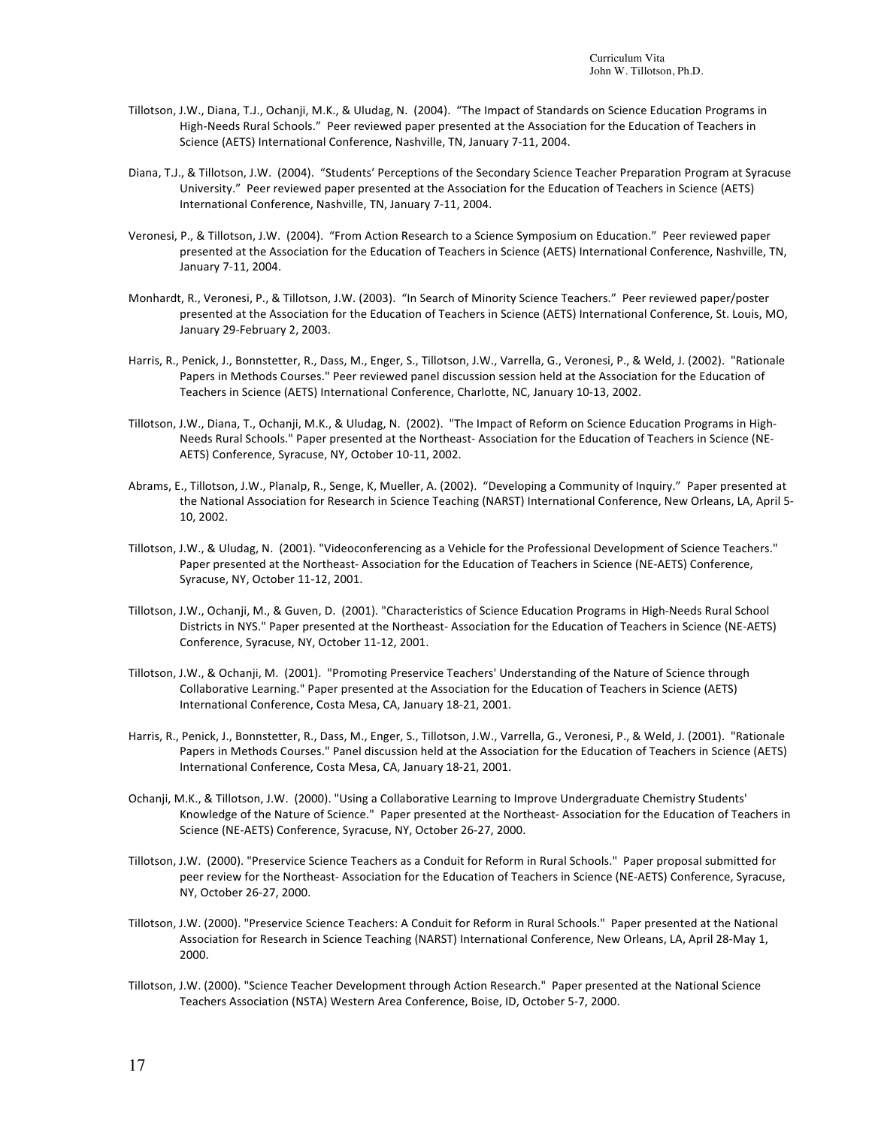- Tillotson, J.W., Diana, T.J., Ochanji, M.K., & Uludag, N. (2004). "The Impact of Standards on Science Education Programs in High-Needs Rural Schools." Peer reviewed paper presented at the Association for the Education of Teachers in Science (AETS) International Conference, Nashville, TN, January 7-11, 2004.
- Diana, T.J., & Tillotson, J.W. (2004). "Students' Perceptions of the Secondary Science Teacher Preparation Program at Syracuse University." Peer reviewed paper presented at the Association for the Education of Teachers in Science (AETS) International Conference, Nashville, TN, January 7-11, 2004.
- Veronesi, P., & Tillotson, J.W. (2004). "From Action Research to a Science Symposium on Education." Peer reviewed paper presented at the Association for the Education of Teachers in Science (AETS) International Conference, Nashville, TN, January 7-11, 2004.
- Monhardt, R., Veronesi, P., & Tillotson, J.W. (2003). "In Search of Minority Science Teachers." Peer reviewed paper/poster presented at the Association for the Education of Teachers in Science (AETS) International Conference, St. Louis, MO, January 29-February 2, 2003.
- Harris, R., Penick, J., Bonnstetter, R., Dass, M., Enger, S., Tillotson, J.W., Varrella, G., Veronesi, P., & Weld, J. (2002). "Rationale Papers in Methods Courses." Peer reviewed panel discussion session held at the Association for the Education of Teachers in Science (AETS) International Conference, Charlotte, NC, January 10-13, 2002.
- Tillotson, J.W., Diana, T., Ochanji, M.K., & Uludag, N. (2002). "The Impact of Reform on Science Education Programs in High-Needs Rural Schools." Paper presented at the Northeast-Association for the Education of Teachers in Science (NE-AETS) Conference, Syracuse, NY, October 10-11, 2002.
- Abrams, E., Tillotson, J.W., Planalp, R., Senge, K, Mueller, A. (2002). "Developing a Community of Inquiry." Paper presented at the National Association for Research in Science Teaching (NARST) International Conference, New Orleans, LA, April 5-10, 2002.
- Tillotson, J.W., & Uludag, N. (2001). "Videoconferencing as a Vehicle for the Professional Development of Science Teachers." Paper presented at the Northeast- Association for the Education of Teachers in Science (NE-AETS) Conference, Syracuse, NY, October 11-12, 2001.
- Tillotson, J.W., Ochanji, M., & Guven, D. (2001). "Characteristics of Science Education Programs in High-Needs Rural School Districts in NYS." Paper presented at the Northeast-Association for the Education of Teachers in Science (NE-AETS) Conference, Syracuse, NY, October 11-12, 2001.
- Tillotson, J.W., & Ochanji, M. (2001). "Promoting Preservice Teachers' Understanding of the Nature of Science through Collaborative Learning." Paper presented at the Association for the Education of Teachers in Science (AETS) International Conference, Costa Mesa, CA, January 18-21, 2001.
- Harris, R., Penick, J., Bonnstetter, R., Dass, M., Enger, S., Tillotson, J.W., Varrella, G., Veronesi, P., & Weld, J. (2001). "Rationale Papers in Methods Courses." Panel discussion held at the Association for the Education of Teachers in Science (AETS) International Conference, Costa Mesa, CA, January 18-21, 2001.
- Ochanji, M.K., & Tillotson, J.W. (2000). "Using a Collaborative Learning to Improve Undergraduate Chemistry Students' Knowledge of the Nature of Science." Paper presented at the Northeast-Association for the Education of Teachers in Science (NE-AETS) Conference, Syracuse, NY, October 26-27, 2000.
- Tillotson, J.W. (2000). "Preservice Science Teachers as a Conduit for Reform in Rural Schools." Paper proposal submitted for peer review for the Northeast- Association for the Education of Teachers in Science (NE-AETS) Conference, Syracuse, NY, October 26-27, 2000.
- Tillotson, J.W. (2000). "Preservice Science Teachers: A Conduit for Reform in Rural Schools." Paper presented at the National Association for Research in Science Teaching (NARST) International Conference, New Orleans, LA, April 28-May 1, 2000.
- Tillotson, J.W. (2000). "Science Teacher Development through Action Research." Paper presented at the National Science Teachers Association (NSTA) Western Area Conference, Boise, ID, October 5-7, 2000.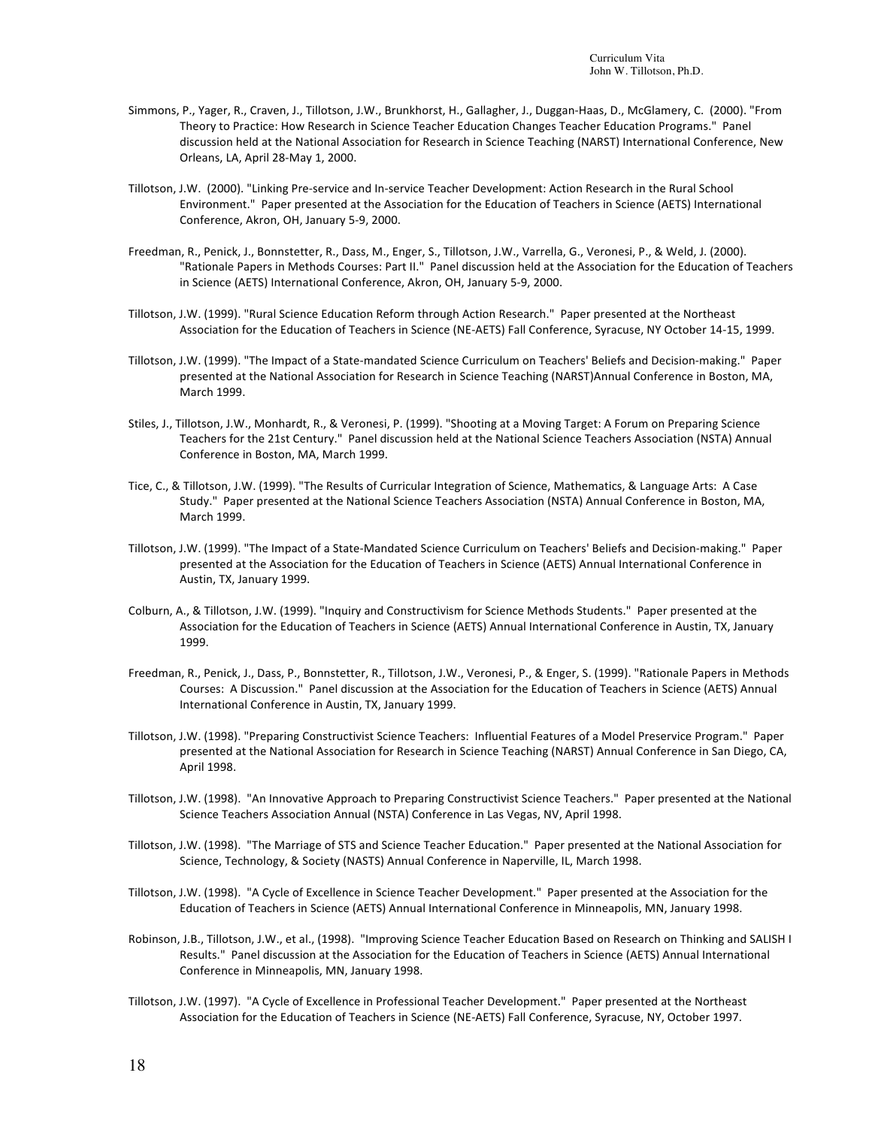- Simmons, P., Yager, R., Craven, J., Tillotson, J.W., Brunkhorst, H., Gallagher, J., Duggan-Haas, D., McGlamery, C. (2000). "From Theory to Practice: How Research in Science Teacher Education Changes Teacher Education Programs." Panel discussion held at the National Association for Research in Science Teaching (NARST) International Conference, New Orleans, LA, April 28-May 1, 2000.
- Tillotson, J.W. (2000). "Linking Pre-service and In-service Teacher Development: Action Research in the Rural School Environment." Paper presented at the Association for the Education of Teachers in Science (AETS) International Conference, Akron, OH, January 5-9, 2000.
- Freedman, R., Penick, J., Bonnstetter, R., Dass, M., Enger, S., Tillotson, J.W., Varrella, G., Veronesi, P., & Weld, J. (2000). "Rationale Papers in Methods Courses: Part II." Panel discussion held at the Association for the Education of Teachers in Science (AETS) International Conference, Akron, OH, January 5-9, 2000.
- Tillotson, J.W. (1999). "Rural Science Education Reform through Action Research." Paper presented at the Northeast Association for the Education of Teachers in Science (NE-AETS) Fall Conference, Syracuse, NY October 14-15, 1999.
- Tillotson, J.W. (1999). "The Impact of a State-mandated Science Curriculum on Teachers' Beliefs and Decision-making." Paper presented at the National Association for Research in Science Teaching (NARST)Annual Conference in Boston, MA, March 1999.
- Stiles, J., Tillotson, J.W., Monhardt, R., & Veronesi, P. (1999). "Shooting at a Moving Target: A Forum on Preparing Science Teachers for the 21st Century." Panel discussion held at the National Science Teachers Association (NSTA) Annual Conference in Boston, MA, March 1999.
- Tice, C., & Tillotson, J.W. (1999). "The Results of Curricular Integration of Science, Mathematics, & Language Arts: A Case Study." Paper presented at the National Science Teachers Association (NSTA) Annual Conference in Boston, MA, March 1999.
- Tillotson, J.W. (1999). "The Impact of a State-Mandated Science Curriculum on Teachers' Beliefs and Decision-making." Paper presented at the Association for the Education of Teachers in Science (AETS) Annual International Conference in Austin, TX, January 1999.
- Colburn, A., & Tillotson, J.W. (1999). "Inquiry and Constructivism for Science Methods Students." Paper presented at the Association for the Education of Teachers in Science (AETS) Annual International Conference in Austin, TX, January 1999.
- Freedman, R., Penick, J., Dass, P., Bonnstetter, R., Tillotson, J.W., Veronesi, P., & Enger, S. (1999). "Rationale Papers in Methods Courses: A Discussion." Panel discussion at the Association for the Education of Teachers in Science (AETS) Annual International Conference in Austin, TX, January 1999.
- Tillotson, J.W. (1998). "Preparing Constructivist Science Teachers: Influential Features of a Model Preservice Program." Paper presented at the National Association for Research in Science Teaching (NARST) Annual Conference in San Diego, CA, April 1998.
- Tillotson, J.W. (1998). "An Innovative Approach to Preparing Constructivist Science Teachers." Paper presented at the National Science Teachers Association Annual (NSTA) Conference in Las Vegas, NV, April 1998.
- Tillotson, J.W. (1998). "The Marriage of STS and Science Teacher Education." Paper presented at the National Association for Science, Technology, & Society (NASTS) Annual Conference in Naperville, IL, March 1998.
- Tillotson, J.W. (1998). "A Cycle of Excellence in Science Teacher Development." Paper presented at the Association for the Education of Teachers in Science (AETS) Annual International Conference in Minneapolis, MN, January 1998.
- Robinson, J.B., Tillotson, J.W., et al., (1998). "Improving Science Teacher Education Based on Research on Thinking and SALISH I Results." Panel discussion at the Association for the Education of Teachers in Science (AETS) Annual International Conference in Minneapolis, MN, January 1998.
- Tillotson, J.W. (1997). "A Cycle of Excellence in Professional Teacher Development." Paper presented at the Northeast Association for the Education of Teachers in Science (NE-AETS) Fall Conference, Syracuse, NY, October 1997.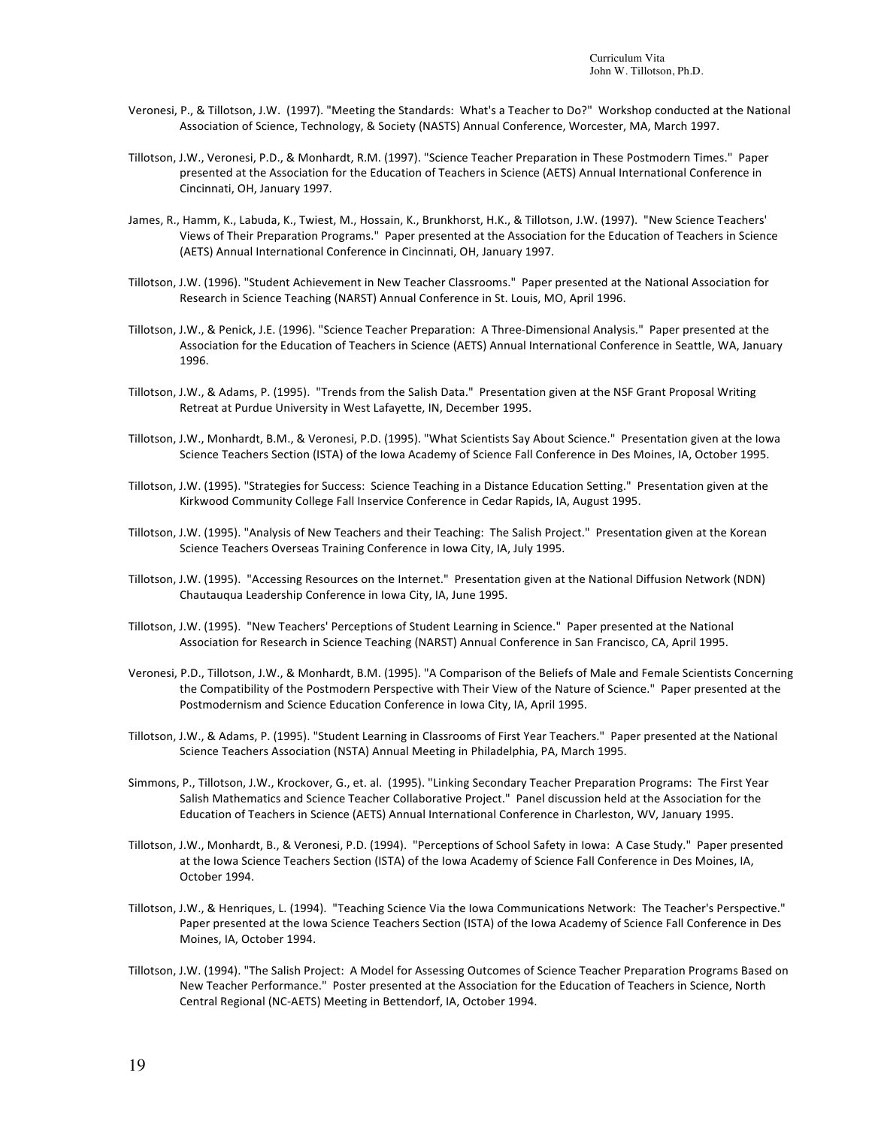- Veronesi, P., & Tillotson, J.W. (1997). "Meeting the Standards: What's a Teacher to Do?" Workshop conducted at the National Association of Science, Technology, & Society (NASTS) Annual Conference, Worcester, MA, March 1997.
- Tillotson, J.W., Veronesi, P.D., & Monhardt, R.M. (1997). "Science Teacher Preparation in These Postmodern Times." Paper presented at the Association for the Education of Teachers in Science (AETS) Annual International Conference in Cincinnati, OH, January 1997.
- James, R., Hamm, K., Labuda, K., Twiest, M., Hossain, K., Brunkhorst, H.K., & Tillotson, J.W. (1997). "New Science Teachers' Views of Their Preparation Programs." Paper presented at the Association for the Education of Teachers in Science (AETS) Annual International Conference in Cincinnati, OH, January 1997.
- Tillotson, J.W. (1996). "Student Achievement in New Teacher Classrooms." Paper presented at the National Association for Research in Science Teaching (NARST) Annual Conference in St. Louis, MO, April 1996.
- Tillotson, J.W., & Penick, J.E. (1996). "Science Teacher Preparation: A Three-Dimensional Analysis." Paper presented at the Association for the Education of Teachers in Science (AETS) Annual International Conference in Seattle, WA, January 1996.
- Tillotson, J.W., & Adams, P. (1995). "Trends from the Salish Data." Presentation given at the NSF Grant Proposal Writing Retreat at Purdue University in West Lafayette, IN, December 1995.
- Tillotson, J.W., Monhardt, B.M., & Veronesi, P.D. (1995). "What Scientists Say About Science." Presentation given at the Iowa Science Teachers Section (ISTA) of the Iowa Academy of Science Fall Conference in Des Moines, IA, October 1995.
- Tillotson, J.W. (1995). "Strategies for Success: Science Teaching in a Distance Education Setting." Presentation given at the Kirkwood Community College Fall Inservice Conference in Cedar Rapids, IA, August 1995.
- Tillotson, J.W. (1995). "Analysis of New Teachers and their Teaching: The Salish Project." Presentation given at the Korean Science Teachers Overseas Training Conference in Iowa City, IA, July 1995.
- Tillotson, J.W. (1995). "Accessing Resources on the Internet." Presentation given at the National Diffusion Network (NDN) Chautauqua Leadership Conference in Iowa City, IA, June 1995.
- Tillotson, J.W. (1995). "New Teachers' Perceptions of Student Learning in Science." Paper presented at the National Association for Research in Science Teaching (NARST) Annual Conference in San Francisco, CA, April 1995.
- Veronesi, P.D., Tillotson, J.W., & Monhardt, B.M. (1995). "A Comparison of the Beliefs of Male and Female Scientists Concerning the Compatibility of the Postmodern Perspective with Their View of the Nature of Science." Paper presented at the Postmodernism and Science Education Conference in Iowa City, IA, April 1995.
- Tillotson, J.W., & Adams, P. (1995). "Student Learning in Classrooms of First Year Teachers." Paper presented at the National Science Teachers Association (NSTA) Annual Meeting in Philadelphia, PA, March 1995.
- Simmons, P., Tillotson, J.W., Krockover, G., et. al. (1995). "Linking Secondary Teacher Preparation Programs: The First Year Salish Mathematics and Science Teacher Collaborative Project." Panel discussion held at the Association for the Education of Teachers in Science (AETS) Annual International Conference in Charleston, WV, January 1995.
- Tillotson, J.W., Monhardt, B., & Veronesi, P.D. (1994). "Perceptions of School Safety in Iowa: A Case Study." Paper presented at the Iowa Science Teachers Section (ISTA) of the Iowa Academy of Science Fall Conference in Des Moines, IA, October 1994.
- Tillotson, J.W., & Henriques, L. (1994). "Teaching Science Via the Iowa Communications Network: The Teacher's Perspective." Paper presented at the Iowa Science Teachers Section (ISTA) of the Iowa Academy of Science Fall Conference in Des Moines, IA, October 1994.
- Tillotson, J.W. (1994). "The Salish Project: A Model for Assessing Outcomes of Science Teacher Preparation Programs Based on New Teacher Performance." Poster presented at the Association for the Education of Teachers in Science, North Central Regional (NC-AETS) Meeting in Bettendorf, IA, October 1994.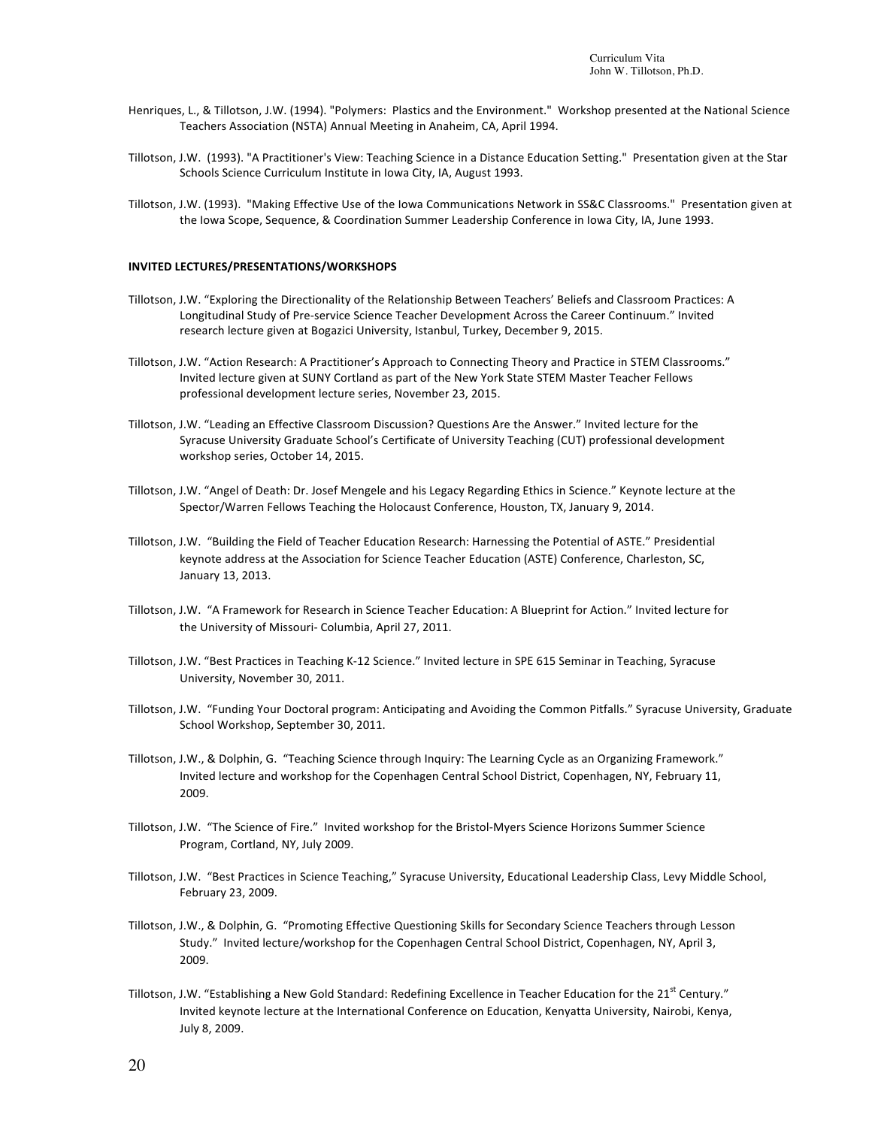- Henriques, L., & Tillotson, J.W. (1994). "Polymers: Plastics and the Environment." Workshop presented at the National Science Teachers Association (NSTA) Annual Meeting in Anaheim, CA, April 1994.
- Tillotson, J.W. (1993). "A Practitioner's View: Teaching Science in a Distance Education Setting." Presentation given at the Star Schools Science Curriculum Institute in Iowa City, IA, August 1993.
- Tillotson, J.W. (1993). "Making Effective Use of the Iowa Communications Network in SS&C Classrooms." Presentation given at the Iowa Scope, Sequence, & Coordination Summer Leadership Conference in Iowa City, IA, June 1993.

#### **INVITED LECTURES/PRESENTATIONS/WORKSHOPS**

- Tillotson, J.W. "Exploring the Directionality of the Relationship Between Teachers' Beliefs and Classroom Practices: A Longitudinal Study of Pre-service Science Teacher Development Across the Career Continuum." Invited research lecture given at Bogazici University, Istanbul, Turkey, December 9, 2015.
- Tillotson, J.W. "Action Research: A Practitioner's Approach to Connecting Theory and Practice in STEM Classrooms." Invited lecture given at SUNY Cortland as part of the New York State STEM Master Teacher Fellows professional development lecture series, November 23, 2015.
- Tillotson, J.W. "Leading an Effective Classroom Discussion? Questions Are the Answer." Invited lecture for the Syracuse University Graduate School's Certificate of University Teaching (CUT) professional development workshop series, October 14, 2015.
- Tillotson, J.W. "Angel of Death: Dr. Josef Mengele and his Legacy Regarding Ethics in Science." Keynote lecture at the Spector/Warren Fellows Teaching the Holocaust Conference, Houston, TX, January 9, 2014.
- Tillotson, J.W. "Building the Field of Teacher Education Research: Harnessing the Potential of ASTE." Presidential keynote address at the Association for Science Teacher Education (ASTE) Conference, Charleston, SC, January 13, 2013.
- Tillotson, J.W. "A Framework for Research in Science Teacher Education: A Blueprint for Action." Invited lecture for the University of Missouri- Columbia, April 27, 2011.
- Tillotson, J.W. "Best Practices in Teaching K-12 Science." Invited lecture in SPE 615 Seminar in Teaching, Syracuse University, November 30, 2011.
- Tillotson, J.W. "Funding Your Doctoral program: Anticipating and Avoiding the Common Pitfalls." Syracuse University, Graduate School Workshop, September 30, 2011.
- Tillotson, J.W., & Dolphin, G. "Teaching Science through Inquiry: The Learning Cycle as an Organizing Framework." Invited lecture and workshop for the Copenhagen Central School District, Copenhagen, NY, February 11, 2009.
- Tillotson, J.W. "The Science of Fire." Invited workshop for the Bristol-Myers Science Horizons Summer Science Program, Cortland, NY, July 2009.
- Tillotson, J.W. "Best Practices in Science Teaching," Syracuse University, Educational Leadership Class, Levy Middle School, February 23, 2009.
- Tillotson, J.W., & Dolphin, G. "Promoting Effective Questioning Skills for Secondary Science Teachers through Lesson Study." Invited lecture/workshop for the Copenhagen Central School District, Copenhagen, NY, April 3, 2009.
- Tillotson, J.W. "Establishing a New Gold Standard: Redefining Excellence in Teacher Education for the  $21^{st}$  Century." Invited keynote lecture at the International Conference on Education, Kenyatta University, Nairobi, Kenya, July 8, 2009.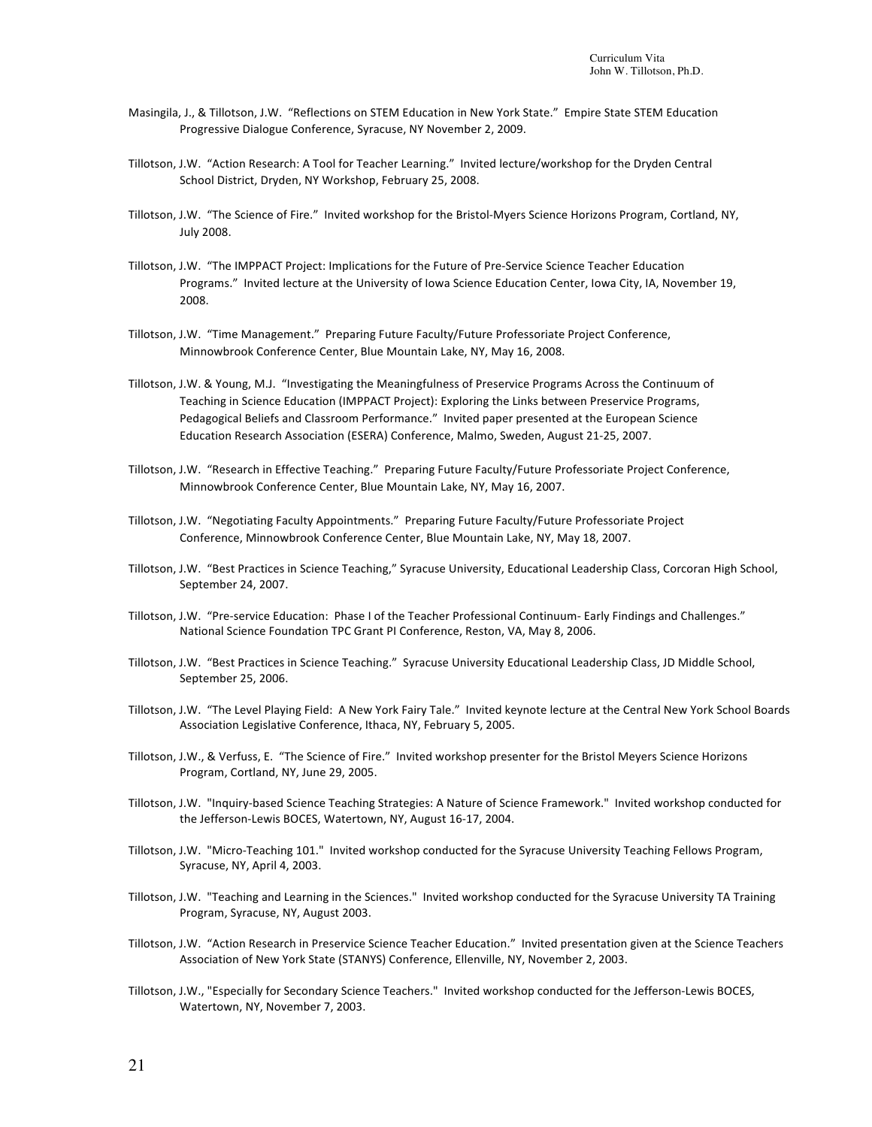- Masingila, J., & Tillotson, J.W. "Reflections on STEM Education in New York State." Empire State STEM Education Progressive Dialogue Conference, Syracuse, NY November 2, 2009.
- Tillotson, J.W. "Action Research: A Tool for Teacher Learning." Invited lecture/workshop for the Dryden Central School District, Dryden, NY Workshop, February 25, 2008.
- Tillotson, J.W. "The Science of Fire." Invited workshop for the Bristol-Myers Science Horizons Program, Cortland, NY, July 2008.
- Tillotson, J.W. "The IMPPACT Project: Implications for the Future of Pre-Service Science Teacher Education Programs." Invited lecture at the University of Iowa Science Education Center, Iowa City, IA, November 19, 2008.
- Tillotson, J.W. "Time Management." Preparing Future Faculty/Future Professoriate Project Conference, Minnowbrook Conference Center, Blue Mountain Lake, NY, May 16, 2008.
- Tillotson, J.W. & Young, M.J. "Investigating the Meaningfulness of Preservice Programs Across the Continuum of Teaching in Science Education (IMPPACT Project): Exploring the Links between Preservice Programs, Pedagogical Beliefs and Classroom Performance." Invited paper presented at the European Science Education Research Association (ESERA) Conference, Malmo, Sweden, August 21-25, 2007.
- Tillotson, J.W. "Research in Effective Teaching." Preparing Future Faculty/Future Professoriate Project Conference, Minnowbrook Conference Center, Blue Mountain Lake, NY, May 16, 2007.
- Tillotson, J.W. "Negotiating Faculty Appointments." Preparing Future Faculty/Future Professoriate Project Conference, Minnowbrook Conference Center, Blue Mountain Lake, NY, May 18, 2007.
- Tillotson, J.W. "Best Practices in Science Teaching," Syracuse University, Educational Leadership Class, Corcoran High School, September 24, 2007.
- Tillotson, J.W. "Pre-service Education: Phase I of the Teacher Professional Continuum- Early Findings and Challenges." National Science Foundation TPC Grant PI Conference, Reston, VA, May 8, 2006.
- Tillotson, J.W. "Best Practices in Science Teaching." Syracuse University Educational Leadership Class, JD Middle School, September 25, 2006.
- Tillotson, J.W. "The Level Playing Field: A New York Fairy Tale." Invited keynote lecture at the Central New York School Boards Association Legislative Conference, Ithaca, NY, February 5, 2005.
- Tillotson, J.W., & Verfuss, E. "The Science of Fire." Invited workshop presenter for the Bristol Meyers Science Horizons Program, Cortland, NY, June 29, 2005.
- Tillotson, J.W. "Inquiry-based Science Teaching Strategies: A Nature of Science Framework." Invited workshop conducted for the Jefferson-Lewis BOCES, Watertown, NY, August 16-17, 2004.
- Tillotson, J.W. "Micro-Teaching 101." Invited workshop conducted for the Syracuse University Teaching Fellows Program, Syracuse, NY, April 4, 2003.
- Tillotson, J.W. "Teaching and Learning in the Sciences." Invited workshop conducted for the Syracuse University TA Training Program, Syracuse, NY, August 2003.
- Tillotson, J.W. "Action Research in Preservice Science Teacher Education." Invited presentation given at the Science Teachers Association of New York State (STANYS) Conference, Ellenville, NY, November 2, 2003.
- Tillotson, J.W., "Especially for Secondary Science Teachers." Invited workshop conducted for the Jefferson-Lewis BOCES, Watertown, NY, November 7, 2003.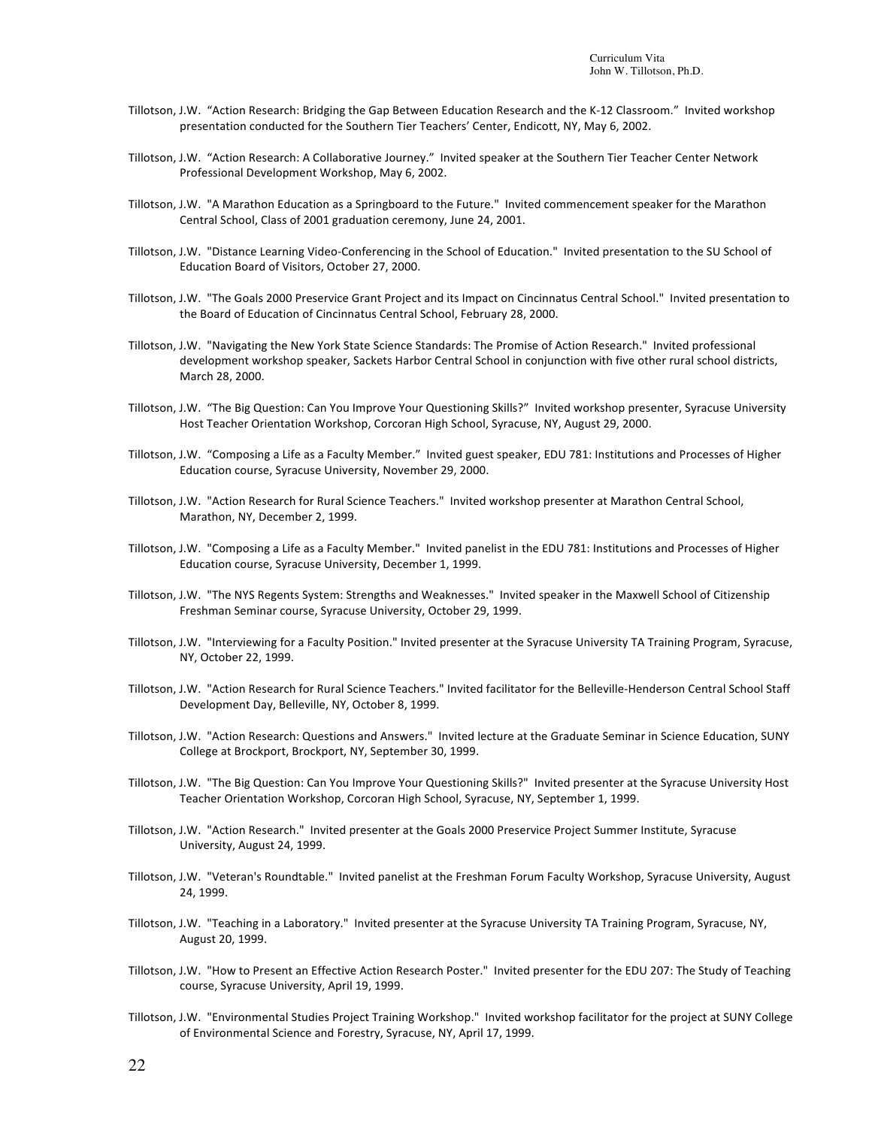- Tillotson, J.W. "Action Research: Bridging the Gap Between Education Research and the K-12 Classroom." Invited workshop presentation conducted for the Southern Tier Teachers' Center, Endicott, NY, May 6, 2002.
- Tillotson, J.W. "Action Research: A Collaborative Journey." Invited speaker at the Southern Tier Teacher Center Network Professional Development Workshop, May 6, 2002.
- Tillotson, J.W. "A Marathon Education as a Springboard to the Future." Invited commencement speaker for the Marathon Central School, Class of 2001 graduation ceremony, June 24, 2001.
- Tillotson, J.W. "Distance Learning Video-Conferencing in the School of Education." Invited presentation to the SU School of Education Board of Visitors, October 27, 2000.
- Tillotson, J.W. "The Goals 2000 Preservice Grant Project and its Impact on Cincinnatus Central School." Invited presentation to the Board of Education of Cincinnatus Central School, February 28, 2000.
- Tillotson, J.W. "Navigating the New York State Science Standards: The Promise of Action Research." Invited professional development workshop speaker, Sackets Harbor Central School in conjunction with five other rural school districts, March 28, 2000.
- Tillotson, J.W. "The Big Question: Can You Improve Your Questioning Skills?" Invited workshop presenter, Syracuse University Host Teacher Orientation Workshop, Corcoran High School, Syracuse, NY, August 29, 2000.
- Tillotson, J.W. "Composing a Life as a Faculty Member." Invited guest speaker, EDU 781: Institutions and Processes of Higher Education course, Syracuse University, November 29, 2000.
- Tillotson, J.W. "Action Research for Rural Science Teachers." Invited workshop presenter at Marathon Central School, Marathon, NY, December 2, 1999.
- Tillotson, J.W. "Composing a Life as a Faculty Member." Invited panelist in the EDU 781: Institutions and Processes of Higher Education course, Syracuse University, December 1, 1999.
- Tillotson, J.W. "The NYS Regents System: Strengths and Weaknesses." Invited speaker in the Maxwell School of Citizenship Freshman Seminar course, Syracuse University, October 29, 1999.
- Tillotson, J.W. "Interviewing for a Faculty Position." Invited presenter at the Syracuse University TA Training Program, Syracuse, NY, October 22, 1999.
- Tillotson, J.W. "Action Research for Rural Science Teachers." Invited facilitator for the Belleville-Henderson Central School Staff Development Day, Belleville, NY, October 8, 1999.
- Tillotson, J.W. "Action Research: Questions and Answers." Invited lecture at the Graduate Seminar in Science Education, SUNY College at Brockport, Brockport, NY, September 30, 1999.
- Tillotson, J.W. "The Big Question: Can You Improve Your Questioning Skills?" Invited presenter at the Syracuse University Host Teacher Orientation Workshop, Corcoran High School, Syracuse, NY, September 1, 1999.
- Tillotson, J.W. "Action Research." Invited presenter at the Goals 2000 Preservice Project Summer Institute, Syracuse University, August 24, 1999.
- Tillotson, J.W. "Veteran's Roundtable." Invited panelist at the Freshman Forum Faculty Workshop, Syracuse University, August 24, 1999.
- Tillotson, J.W. "Teaching in a Laboratory." Invited presenter at the Syracuse University TA Training Program, Syracuse, NY, August 20, 1999.
- Tillotson, J.W. "How to Present an Effective Action Research Poster." Invited presenter for the EDU 207: The Study of Teaching course, Syracuse University, April 19, 1999.
- Tillotson, J.W. "Environmental Studies Project Training Workshop." Invited workshop facilitator for the project at SUNY College of Environmental Science and Forestry, Syracuse, NY, April 17, 1999.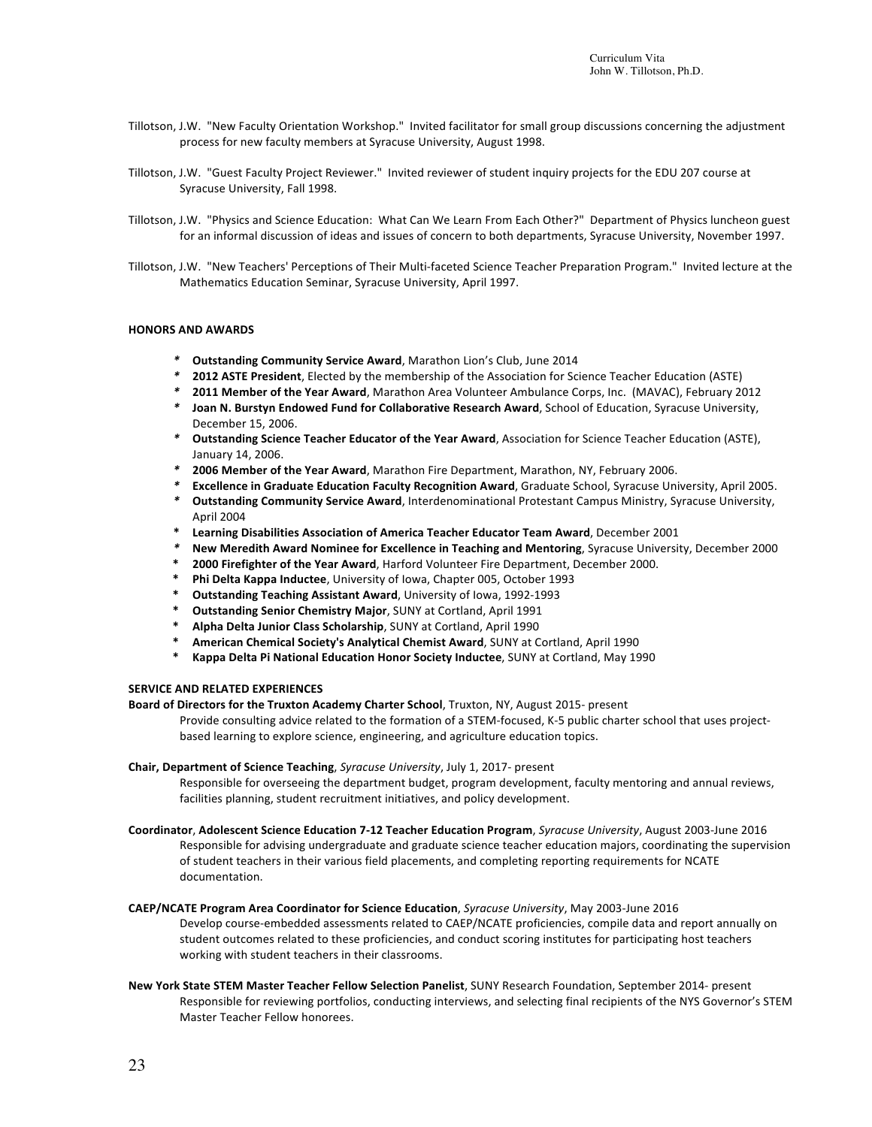- Tillotson, J.W. "New Faculty Orientation Workshop." Invited facilitator for small group discussions concerning the adjustment process for new faculty members at Syracuse University, August 1998.
- Tillotson, J.W. "Guest Faculty Project Reviewer." Invited reviewer of student inquiry projects for the EDU 207 course at Syracuse University, Fall 1998.
- Tillotson, J.W. "Physics and Science Education: What Can We Learn From Each Other?" Department of Physics luncheon guest for an informal discussion of ideas and issues of concern to both departments, Syracuse University, November 1997.
- Tillotson, J.W. "New Teachers' Perceptions of Their Multi-faceted Science Teacher Preparation Program." Invited lecture at the Mathematics Education Seminar, Syracuse University, April 1997.

### **HONORS AND AWARDS**

- *\** **Outstanding Community Service Award**, Marathon Lion's Club, June 2014
- \* **2012 ASTE President**, Elected by the membership of the Association for Science Teacher Education (ASTE)
- **2011 Member of the Year Award**, Marathon Area Volunteer Ambulance Corps, Inc. (MAVAC), February 2012
- *\** **Joan N. Burstyn Endowed Fund for Collaborative Research Award**, School of Education, Syracuse University, December 15, 2006.
- *\** **Outstanding Science Teacher Educator of the Year Award**, Association for Science Teacher Education (ASTE), January 14, 2006.
- *\** **2006 Member of the Year Award**, Marathon Fire Department, Marathon, NY, February 2006.
- **Excellence in Graduate Education Faculty Recognition Award**, Graduate School, Syracuse University, April 2005.
- **Outstanding Community Service Award**, Interdenominational Protestant Campus Ministry, Syracuse University, April 2004
- **\* Learning Disabilities Association of America Teacher Educator Team Award**, December 2001
- **New Meredith Award Nominee for Excellence in Teaching and Mentoring, Syracuse University, December 2000**
- **\* 2000 Firefighter of the Year Award**, Harford Volunteer Fire Department, December 2000.<br>**\*** Phi Delta Kanna Inductee University of Jowa, Chanter 005, October 1993.
- **Phi Delta Kappa Inductee**, University of Iowa, Chapter 005, October 1993
- **Outstanding Teaching Assistant Award**, University of Iowa, 1992-1993
- **Outstanding Senior Chemistry Major, SUNY at Cortland, April 1991**
- **\* Alpha Delta Junior Class Scholarship**, SUNY at Cortland, April 1990
- **\* American Chemical Society's Analytical Chemist Award**, SUNY at Cortland, April 1990
- **\* Kappa Delta Pi National Education Honor Society Inductee**, SUNY at Cortland, May 1990

#### **SERVICE AND RELATED EXPERIENCES**

**Board of Directors for the Truxton Academy Charter School, Truxton, NY, August 2015- present** 

Provide consulting advice related to the formation of a STEM-focused, K-5 public charter school that uses projectbased learning to explore science, engineering, and agriculture education topics.

#### **Chair, Department of Science Teaching**, *Syracuse University*, July 1, 2017- present

Responsible for overseeing the department budget, program development, faculty mentoring and annual reviews, facilities planning, student recruitment initiatives, and policy development.

- **Coordinator**, **Adolescent Science Education 7-12 Teacher Education Program**, *Syracuse University*, August 2003-June 2016 Responsible for advising undergraduate and graduate science teacher education majors, coordinating the supervision of student teachers in their various field placements, and completing reporting requirements for NCATE documentation.
- **CAEP/NCATE Program Area Coordinator for Science Education**, *Syracuse University*, May 2003-June 2016 Develop course-embedded assessments related to CAEP/NCATE proficiencies, compile data and report annually on student outcomes related to these proficiencies, and conduct scoring institutes for participating host teachers working with student teachers in their classrooms.
- New York State STEM Master Teacher Fellow Selection Panelist, SUNY Research Foundation, September 2014- present Responsible for reviewing portfolios, conducting interviews, and selecting final recipients of the NYS Governor's STEM Master Teacher Fellow honorees.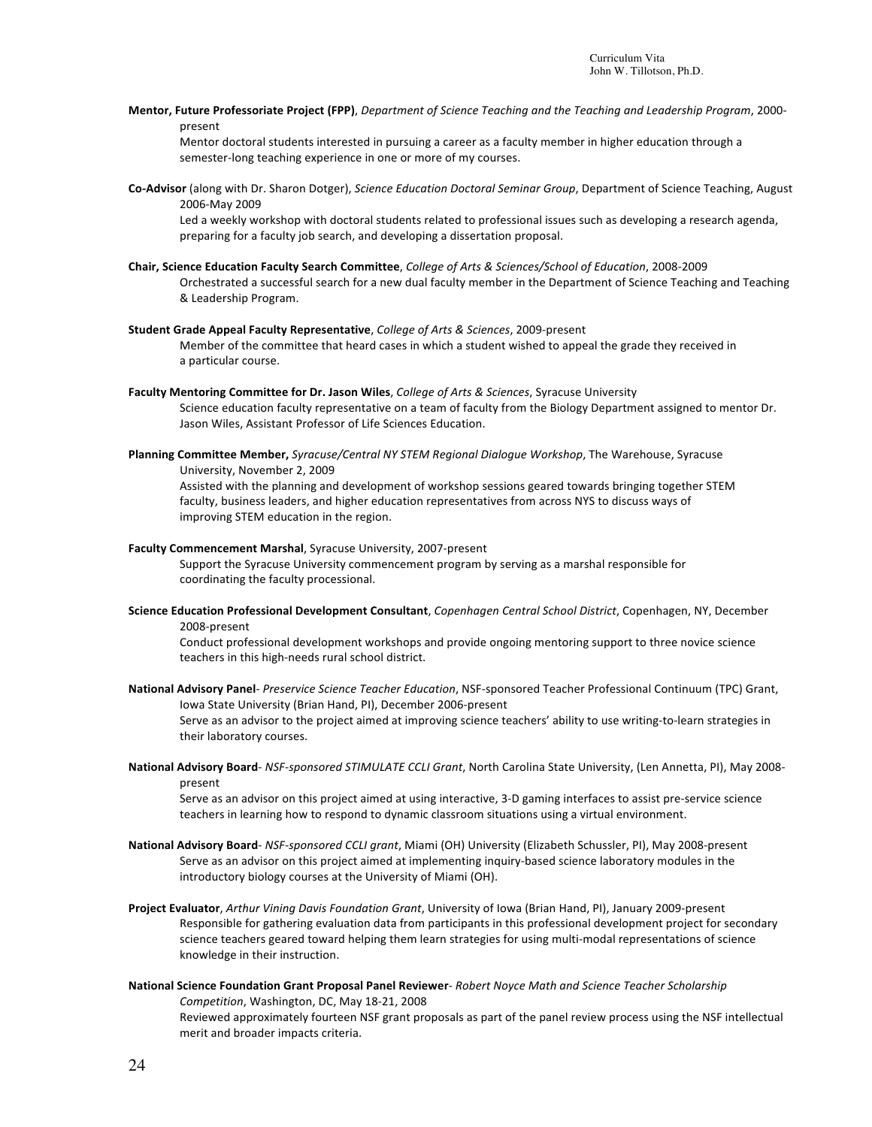Mentor, Future Professoriate Project (FPP), Department of Science Teaching and the Teaching and Leadership Program, 2000present

Mentor doctoral students interested in pursuing a career as a faculty member in higher education through a semester-long teaching experience in one or more of my courses.

Co-Advisor (along with Dr. Sharon Dotger), Science Education Doctoral Seminar Group, Department of Science Teaching, August 2006-May 2009

Led a weekly workshop with doctoral students related to professional issues such as developing a research agenda, preparing for a faculty job search, and developing a dissertation proposal.

- **Chair, Science Education Faculty Search Committee**, *College of Arts & Sciences/School of Education*, 2008-2009 Orchestrated a successful search for a new dual faculty member in the Department of Science Teaching and Teaching & Leadership Program.
- **Student Grade Appeal Faculty Representative**, *College of Arts & Sciences*, 2009-present Member of the committee that heard cases in which a student wished to appeal the grade they received in a particular course.
- Faculty Mentoring Committee for Dr. Jason Wiles, College of Arts & Sciences, Syracuse University Science education faculty representative on a team of faculty from the Biology Department assigned to mentor Dr. Jason Wiles, Assistant Professor of Life Sciences Education.
- Planning Committee Member, Syracuse/Central NY STEM Regional Dialogue Workshop, The Warehouse, Syracuse University, November 2, 2009

Assisted with the planning and development of workshop sessions geared towards bringing together STEM faculty, business leaders, and higher education representatives from across NYS to discuss ways of improving STEM education in the region.

**Faculty Commencement Marshal, Syracuse University, 2007-present** 

merit and broader impacts criteria.

Support the Syracuse University commencement program by serving as a marshal responsible for coordinating the faculty processional.

Science Education Professional Development Consultant, *Copenhagen Central School District*, Copenhagen, NY, December 2008-present

Conduct professional development workshops and provide ongoing mentoring support to three novice science teachers in this high-needs rural school district.

- National Advisory Panel- Preservice Science Teacher Education, NSF-sponsored Teacher Professional Continuum (TPC) Grant, Iowa State University (Brian Hand, PI), December 2006-present Serve as an advisor to the project aimed at improving science teachers' ability to use writing-to-learn strategies in their laboratory courses.
- National Advisory Board- NSF-sponsored STIMULATE CCLI Grant, North Carolina State University, (Len Annetta, PI), May 2008present

Serve as an advisor on this project aimed at using interactive, 3-D gaming interfaces to assist pre-service science teachers in learning how to respond to dynamic classroom situations using a virtual environment.

- National Advisory Board- *NSF-sponsored CCLI grant*, Miami (OH) University (Elizabeth Schussler, PI), May 2008-present Serve as an advisor on this project aimed at implementing inquiry-based science laboratory modules in the introductory biology courses at the University of Miami (OH).
- Project Evaluator, Arthur Vining Davis Foundation Grant, University of Iowa (Brian Hand, PI), January 2009-present Responsible for gathering evaluation data from participants in this professional development project for secondary science teachers geared toward helping them learn strategies for using multi-modal representations of science knowledge in their instruction.
- **National Science Foundation Grant Proposal Panel Reviewer- Robert Noyce Math and Science Teacher Scholarship** *Competition*, Washington, DC, May 18-21, 2008 Reviewed approximately fourteen NSF grant proposals as part of the panel review process using the NSF intellectual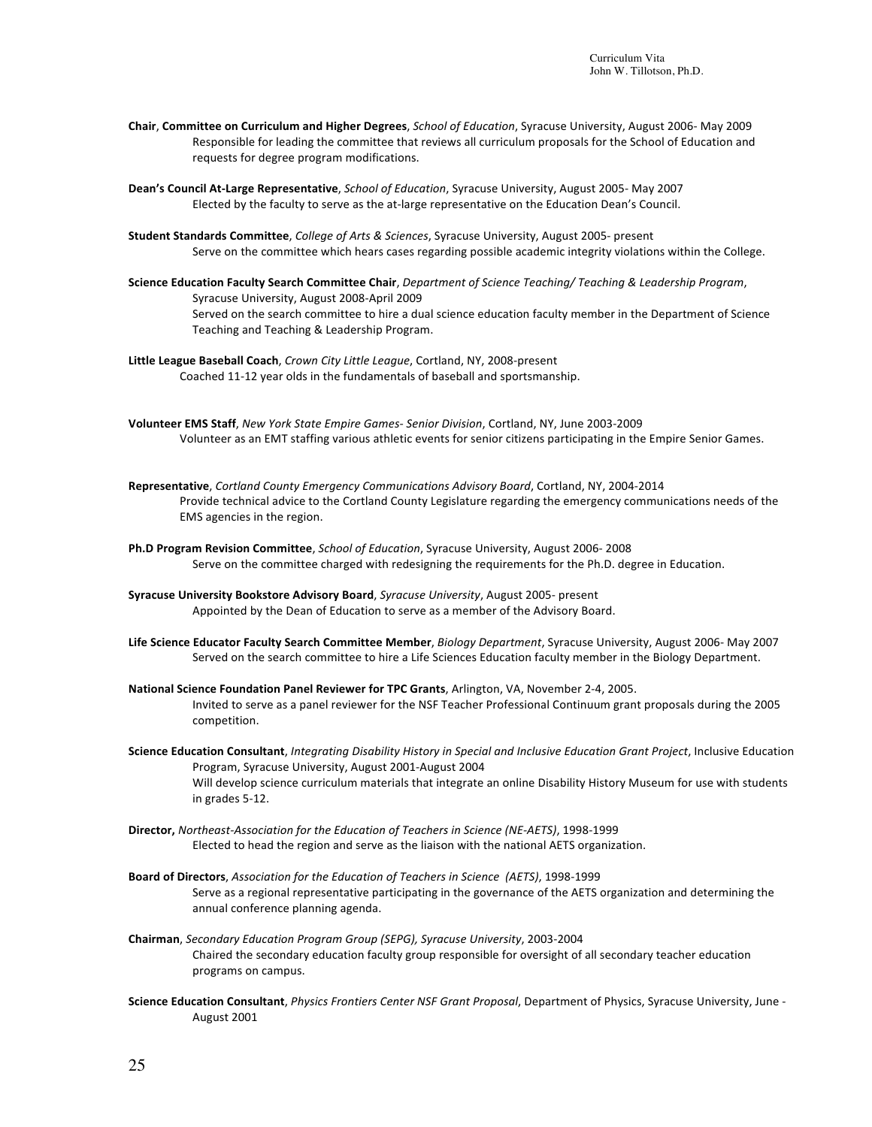**Chair, Committee on Curriculum and Higher Degrees,** *School of Education*, Syracuse University, August 2006- May 2009 Responsible for leading the committee that reviews all curriculum proposals for the School of Education and requests for degree program modifications.

Dean's Council At-Large Representative, *School of Education*, Syracuse University, August 2005- May 2007 Elected by the faculty to serve as the at-large representative on the Education Dean's Council.

- Student Standards Committee, College of Arts & Sciences, Syracuse University, August 2005- present Serve on the committee which hears cases regarding possible academic integrity violations within the College.
- Science Education Faculty Search Committee Chair, *Department of Science Teaching/ Teaching & Leadership Program*, Syracuse University, August 2008-April 2009 Served on the search committee to hire a dual science education faculty member in the Department of Science Teaching and Teaching & Leadership Program.
- Little League Baseball Coach, *Crown City Little League*, Cortland, NY, 2008-present Coached 11-12 year olds in the fundamentals of baseball and sportsmanship.
- **Volunteer EMS Staff**, *New York State Empire Games- Senior Division*, Cortland, NY, June 2003-2009 Volunteer as an EMT staffing various athletic events for senior citizens participating in the Empire Senior Games.
- Representative, Cortland County Emergency Communications Advisory Board, Cortland, NY, 2004-2014 Provide technical advice to the Cortland County Legislature regarding the emergency communications needs of the EMS agencies in the region.
- **Ph.D Program Revision Committee**, *School of Education*, Syracuse University, August 2006- 2008 Serve on the committee charged with redesigning the requirements for the Ph.D. degree in Education.
- Syracuse University Bookstore Advisory Board, Syracuse University, August 2005- present Appointed by the Dean of Education to serve as a member of the Advisory Board.
- Life Science Educator Faculty Search Committee Member, *Biology Department*, Syracuse University, August 2006- May 2007 Served on the search committee to hire a Life Sciences Education faculty member in the Biology Department.
- National Science Foundation Panel Reviewer for TPC Grants, Arlington, VA, November 2-4, 2005. Invited to serve as a panel reviewer for the NSF Teacher Professional Continuum grant proposals during the 2005 competition.
- Science Education Consultant, *Integrating Disability History in Special and Inclusive Education Grant Project*, Inclusive Education Program, Syracuse University, August 2001-August 2004 Will develop science curriculum materials that integrate an online Disability History Museum for use with students in grades 5-12.
- **Director,** *Northeast-Association for the Education of Teachers in Science (NE-AETS)*, 1998-1999 Elected to head the region and serve as the liaison with the national AETS organization.
- Board of Directors, Association for the Education of Teachers in Science (AETS), 1998-1999 Serve as a regional representative participating in the governance of the AETS organization and determining the annual conference planning agenda.
- **Chairman**, *Secondary Education Program Group (SEPG), Syracuse University*, 2003-2004 Chaired the secondary education faculty group responsible for oversight of all secondary teacher education programs on campus.
- Science Education Consultant, *Physics Frontiers Center NSF Grant Proposal*, Department of Physics, Syracuse University, June -August 2001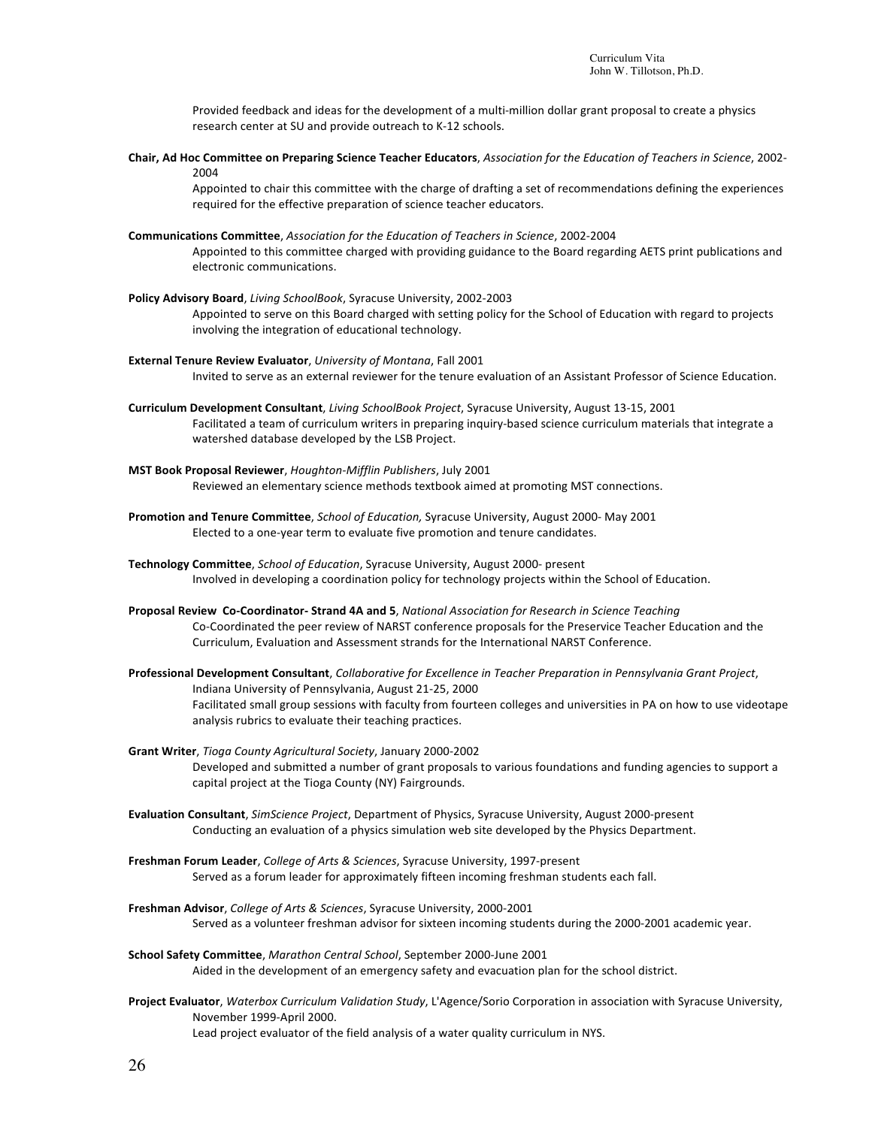Provided feedback and ideas for the development of a multi-million dollar grant proposal to create a physics research center at SU and provide outreach to K-12 schools.

Chair, Ad Hoc Committee on Preparing Science Teacher Educators, *Association for the Education of Teachers in Science*, 2002-2004

Appointed to chair this committee with the charge of drafting a set of recommendations defining the experiences required for the effective preparation of science teacher educators.

**Communications Committee**, *Association for the Education of Teachers in Science*, 2002-2004

Appointed to this committee charged with providing guidance to the Board regarding AETS print publications and electronic communications.

Policy Advisory Board, *Living SchoolBook*, Syracuse University, 2002-2003

Appointed to serve on this Board charged with setting policy for the School of Education with regard to projects involving the integration of educational technology.

**External Tenure Review Evaluator**, *University of Montana*, Fall 2001

Invited to serve as an external reviewer for the tenure evaluation of an Assistant Professor of Science Education.

- **Curriculum Development Consultant**, *Living SchoolBook Project*, Syracuse University, August 13-15, 2001 Facilitated a team of curriculum writers in preparing inquiry-based science curriculum materials that integrate a watershed database developed by the LSB Project.
- **MST Book Proposal Reviewer**, *Houghton-Mifflin Publishers*, July 2001 Reviewed an elementary science methods textbook aimed at promoting MST connections.
- Promotion and Tenure Committee, *School of Education*, Syracuse University, August 2000- May 2001 Elected to a one-year term to evaluate five promotion and tenure candidates.
- **Technology Committee**, *School of Education*, Syracuse University, August 2000- present Involved in developing a coordination policy for technology projects within the School of Education.
- **Proposal Review Co-Coordinator- Strand 4A and 5**, *National Association for Research in Science Teaching* Co-Coordinated the peer review of NARST conference proposals for the Preservice Teacher Education and the Curriculum, Evaluation and Assessment strands for the International NARST Conference.
- Professional Development Consultant, *Collaborative for Excellence in Teacher Preparation in Pennsylvania Grant Project*, Indiana University of Pennsylvania, August 21-25, 2000 Facilitated small group sessions with faculty from fourteen colleges and universities in PA on how to use videotape analysis rubrics to evaluate their teaching practices.
- **Grant Writer**, *Tioga County Agricultural Society*, January 2000-2002 Developed and submitted a number of grant proposals to various foundations and funding agencies to support a capital project at the Tioga County (NY) Fairgrounds.
- **Evaluation Consultant**, SimScience Project, Department of Physics, Syracuse University, August 2000-present Conducting an evaluation of a physics simulation web site developed by the Physics Department.
- Freshman Forum Leader, *College of Arts & Sciences*, Syracuse University, 1997-present Served as a forum leader for approximately fifteen incoming freshman students each fall.
- Freshman Advisor, College of Arts & Sciences, Syracuse University, 2000-2001 Served as a volunteer freshman advisor for sixteen incoming students during the 2000-2001 academic year.
- School Safety Committee, Marathon Central School, September 2000-June 2001 Aided in the development of an emergency safety and evacuation plan for the school district.
- Project Evaluator, Waterbox Curriculum Validation Study, L'Agence/Sorio Corporation in association with Syracuse University, November 1999-April 2000. Lead project evaluator of the field analysis of a water quality curriculum in NYS.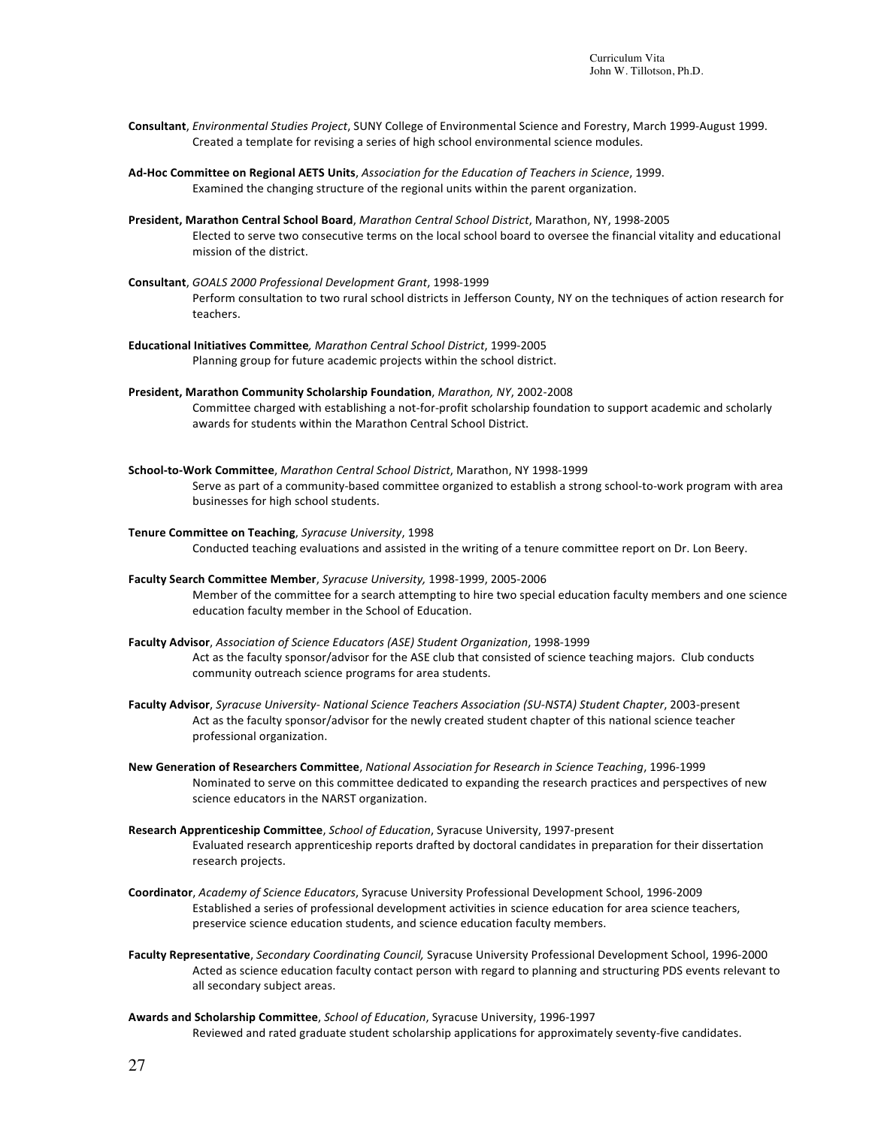- Consultant, *Environmental Studies Project*, SUNY College of Environmental Science and Forestry, March 1999-August 1999. Created a template for revising a series of high school environmental science modules.
- Ad-Hoc Committee on Regional AETS Units, *Association for the Education of Teachers in Science*, 1999. Examined the changing structure of the regional units within the parent organization.
- **President, Marathon Central School Board**, *Marathon Central School District*, Marathon, NY, 1998-2005 Elected to serve two consecutive terms on the local school board to oversee the financial vitality and educational mission of the district.
- **Consultant**, *GOALS 2000 Professional Development Grant*, 1998-1999 Perform consultation to two rural school districts in Jefferson County, NY on the techniques of action research for teachers.
- **Educational Initiatives Committee***, Marathon Central School District*, 1999-2005 Planning group for future academic projects within the school district.
- **President, Marathon Community Scholarship Foundation**, *Marathon, NY*, 2002-2008 Committee charged with establishing a not-for-profit scholarship foundation to support academic and scholarly awards for students within the Marathon Central School District.
- **School-to-Work Committee**, *Marathon Central School District*, Marathon, NY 1998-1999 Serve as part of a community-based committee organized to establish a strong school-to-work program with area businesses for high school students.
- **Tenure Committee on Teaching**, *Syracuse University*, 1998 Conducted teaching evaluations and assisted in the writing of a tenure committee report on Dr. Lon Beery.
- **Faculty Search Committee Member**, *Syracuse University,* 1998-1999, 2005-2006 Member of the committee for a search attempting to hire two special education faculty members and one science education faculty member in the School of Education.
- **Faculty Advisor**, *Association of Science Educators (ASE) Student Organization*, 1998-1999 Act as the faculty sponsor/advisor for the ASE club that consisted of science teaching majors. Club conducts community outreach science programs for area students.
- Faculty Advisor, Syracuse University- National Science Teachers Association (SU-NSTA) Student Chapter, 2003-present Act as the faculty sponsor/advisor for the newly created student chapter of this national science teacher professional organization.
- **New Generation of Researchers Committee**, *National Association for Research in Science Teaching*, 1996-1999 Nominated to serve on this committee dedicated to expanding the research practices and perspectives of new science educators in the NARST organization.
- Research Apprenticeship Committee, *School of Education*, Syracuse University, 1997-present Evaluated research apprenticeship reports drafted by doctoral candidates in preparation for their dissertation research projects.
- **Coordinator**, *Academy of Science Educators*, Syracuse University Professional Development School, 1996-2009 Established a series of professional development activities in science education for area science teachers, preservice science education students, and science education faculty members.
- Faculty Representative, Secondary Coordinating Council, Syracuse University Professional Development School, 1996-2000 Acted as science education faculty contact person with regard to planning and structuring PDS events relevant to all secondary subject areas.
- Awards and Scholarship Committee, *School of Education*, Syracuse University, 1996-1997 Reviewed and rated graduate student scholarship applications for approximately seventy-five candidates.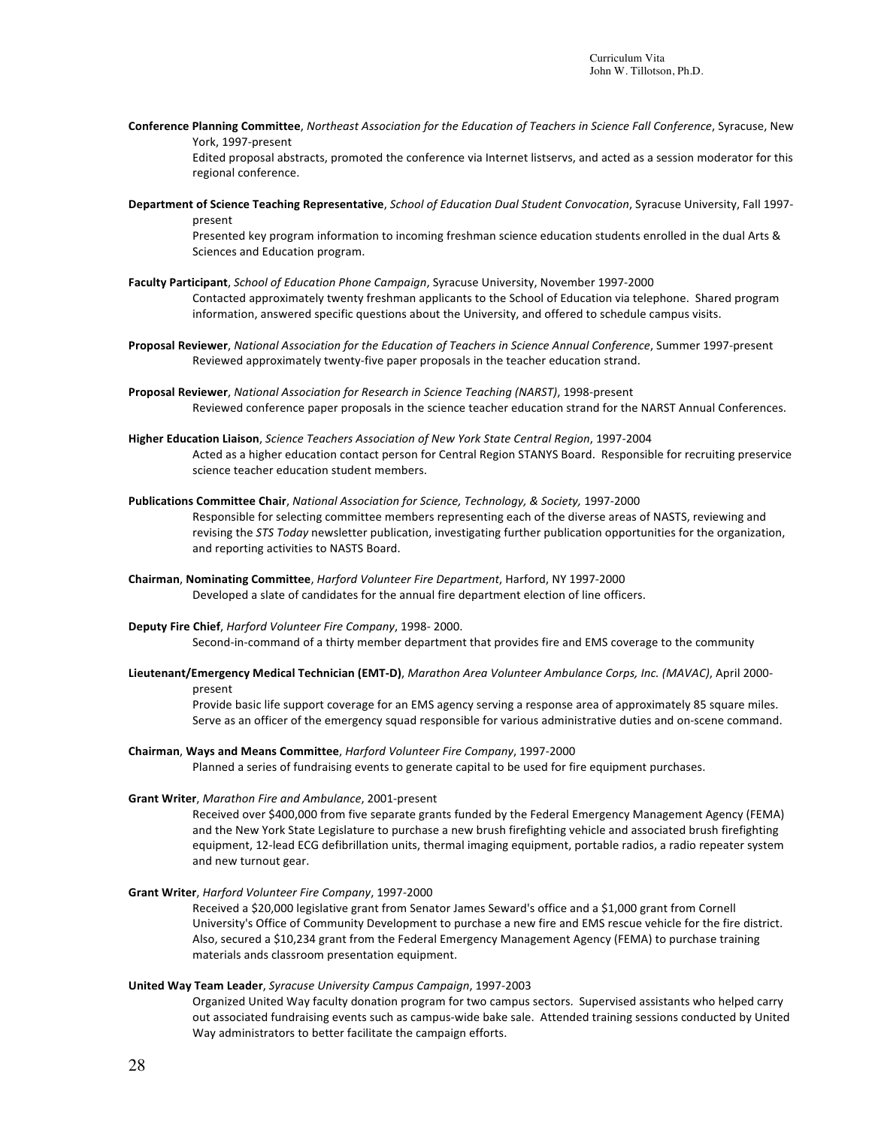Conference Planning Committee, Northeast Association for the Education of Teachers in Science Fall Conference, Syracuse, New York, 1997-present Edited proposal abstracts, promoted the conference via Internet listservs, and acted as a session moderator for this

regional conference.

Department of Science Teaching Representative, School of Education Dual Student Convocation, Syracuse University, Fall 1997present

Presented key program information to incoming freshman science education students enrolled in the dual Arts & Sciences and Education program.

- Faculty Participant, *School of Education Phone Campaign*, Syracuse University, November 1997-2000 Contacted approximately twenty freshman applicants to the School of Education via telephone. Shared program information, answered specific questions about the University, and offered to schedule campus visits.
- Proposal Reviewer, National Association for the Education of Teachers in Science Annual Conference, Summer 1997-present Reviewed approximately twenty-five paper proposals in the teacher education strand.
- **Proposal Reviewer**, *National Association for Research in Science Teaching (NARST)*, 1998-present Reviewed conference paper proposals in the science teacher education strand for the NARST Annual Conferences.
- **Higher Education Liaison**, *Science Teachers Association of New York State Central Region*, 1997-2004 Acted as a higher education contact person for Central Region STANYS Board. Responsible for recruiting preservice science teacher education student members.
- **Publications Committee Chair**, *National Association for Science, Technology, & Society,* 1997-2000 Responsible for selecting committee members representing each of the diverse areas of NASTS, reviewing and revising the STS Today newsletter publication, investigating further publication opportunities for the organization, and reporting activities to NASTS Board.
- **Chairman**, **Nominating Committee**, *Harford Volunteer Fire Department*, Harford, NY 1997-2000 Developed a slate of candidates for the annual fire department election of line officers.
- **Deputy Fire Chief**, *Harford Volunteer Fire Company*, 1998- 2000. Second-in-command of a thirty member department that provides fire and EMS coverage to the community
- Lieutenant/Emergency Medical Technician (EMT-D), Marathon Area Volunteer Ambulance Corps, Inc. (MAVAC), April 2000present

Provide basic life support coverage for an EMS agency serving a response area of approximately 85 square miles. Serve as an officer of the emergency squad responsible for various administrative duties and on-scene command.

**Chairman**, **Ways and Means Committee**, *Harford Volunteer Fire Company*, 1997-2000 Planned a series of fundraising events to generate capital to be used for fire equipment purchases.

### **Grant Writer**, Marathon Fire and Ambulance, 2001-present

Received over \$400,000 from five separate grants funded by the Federal Emergency Management Agency (FEMA) and the New York State Legislature to purchase a new brush firefighting vehicle and associated brush firefighting equipment, 12-lead ECG defibrillation units, thermal imaging equipment, portable radios, a radio repeater system and new turnout gear.

**Grant Writer**, *Harford Volunteer Fire Company*, 1997-2000

Received a \$20,000 legislative grant from Senator James Seward's office and a \$1,000 grant from Cornell University's Office of Community Development to purchase a new fire and EMS rescue vehicle for the fire district. Also, secured a \$10,234 grant from the Federal Emergency Management Agency (FEMA) to purchase training materials ands classroom presentation equipment.

### **United Way Team Leader**, *Syracuse University Campus Campaign*, 1997-2003

Organized United Way faculty donation program for two campus sectors. Supervised assistants who helped carry out associated fundraising events such as campus-wide bake sale. Attended training sessions conducted by United Way administrators to better facilitate the campaign efforts.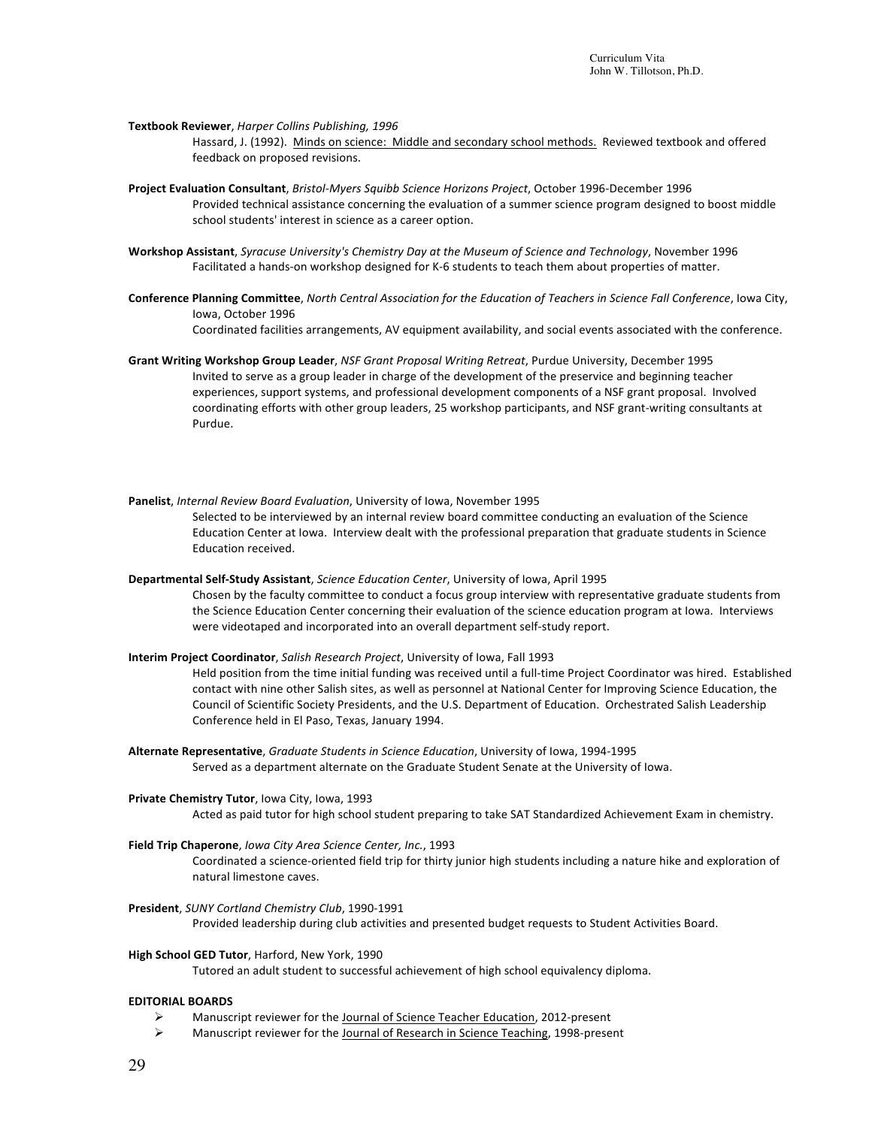**Textbook Reviewer**, *Harper Collins Publishing, 1996*

Hassard, J. (1992). Minds on science: Middle and secondary school methods. Reviewed textbook and offered feedback on proposed revisions.

- Project Evaluation Consultant, Bristol-Myers Squibb Science Horizons Project, October 1996-December 1996 Provided technical assistance concerning the evaluation of a summer science program designed to boost middle school students' interest in science as a career option.
- Workshop Assistant, Syracuse University's Chemistry Day at the Museum of Science and Technology, November 1996 Facilitated a hands-on workshop designed for K-6 students to teach them about properties of matter.
- Conference Planning Committee, North Central Association for the Education of Teachers in Science Fall Conference, Iowa City, Iowa, October 1996

Coordinated facilities arrangements, AV equipment availability, and social events associated with the conference.

- Grant Writing Workshop Group Leader, *NSF Grant Proposal Writing Retreat*, Purdue University, December 1995 Invited to serve as a group leader in charge of the development of the preservice and beginning teacher experiences, support systems, and professional development components of a NSF grant proposal. Involved coordinating efforts with other group leaders, 25 workshop participants, and NSF grant-writing consultants at Purdue.
- Panelist, Internal Review Board Evaluation, University of Iowa, November 1995 Selected to be interviewed by an internal review board committee conducting an evaluation of the Science Education Center at Iowa. Interview dealt with the professional preparation that graduate students in Science Education received.
- Departmental Self-Study Assistant, *Science Education Center*, University of Iowa, April 1995 Chosen by the faculty committee to conduct a focus group interview with representative graduate students from the Science Education Center concerning their evaluation of the science education program at lowa. Interviews were videotaped and incorporated into an overall department self-study report.
- **Interim Project Coordinator**, *Salish Research Project*, University of Iowa, Fall 1993

Held position from the time initial funding was received until a full-time Project Coordinator was hired. Established contact with nine other Salish sites, as well as personnel at National Center for Improving Science Education, the Council of Scientific Society Presidents, and the U.S. Department of Education. Orchestrated Salish Leadership Conference held in El Paso, Texas, January 1994.

- **Alternate Representative**, *Graduate Students in Science Education*, University of Iowa, 1994-1995 Served as a department alternate on the Graduate Student Senate at the University of Iowa.
- **Private Chemistry Tutor**, Iowa City, Iowa, 1993 Acted as paid tutor for high school student preparing to take SAT Standardized Achievement Exam in chemistry.
- Field Trip Chaperone, *Iowa City Area Science Center, Inc.*, 1993
	- Coordinated a science-oriented field trip for thirty junior high students including a nature hike and exploration of natural limestone caves.
- **President**, *SUNY Cortland Chemistry Club*, 1990-1991 Provided leadership during club activities and presented budget requests to Student Activities Board.
- **High School GED Tutor**, Harford, New York, 1990

Tutored an adult student to successful achievement of high school equivalency diploma.

# **EDITORIAL BOARDS**

- Manuscript reviewer for the Journal of Science Teacher Education, 2012-present
- $\triangleright$  Manuscript reviewer for the Journal of Research in Science Teaching, 1998-present